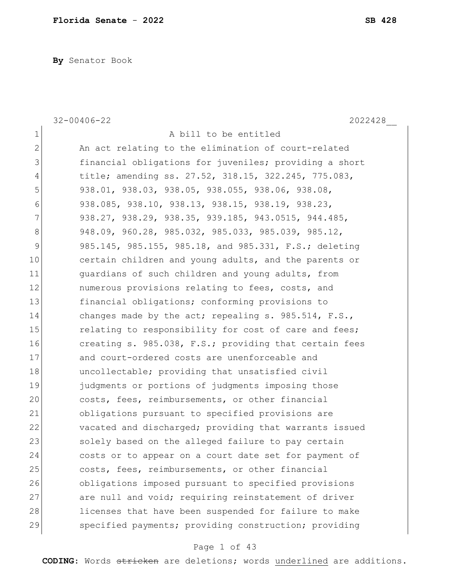**By** Senator Book

|                | $32 - 00406 - 22$<br>2022428                            |
|----------------|---------------------------------------------------------|
| $\mathbf 1$    | A bill to be entitled                                   |
| $\overline{2}$ | An act relating to the elimination of court-related     |
| 3              | financial obligations for juveniles; providing a short  |
| 4              | title; amending ss. 27.52, 318.15, 322.245, 775.083,    |
| 5              | 938.01, 938.03, 938.05, 938.055, 938.06, 938.08,        |
| 6              | 938.085, 938.10, 938.13, 938.15, 938.19, 938.23,        |
| 7              | 938.27, 938.29, 938.35, 939.185, 943.0515, 944.485,     |
| 8              | 948.09, 960.28, 985.032, 985.033, 985.039, 985.12,      |
| 9              | 985.145, 985.155, 985.18, and 985.331, F.S.; deleting   |
| 10             | certain children and young adults, and the parents or   |
| 11             | quardians of such children and young adults, from       |
| 12             | numerous provisions relating to fees, costs, and        |
| 13             | financial obligations; conforming provisions to         |
| 14             | changes made by the act; repealing s. $985.514$ , F.S., |
| 15             | relating to responsibility for cost of care and fees;   |
| 16             | creating s. 985.038, F.S.; providing that certain fees  |
| 17             | and court-ordered costs are unenforceable and           |
| 18             | uncollectable; providing that unsatisfied civil         |
| 19             | judgments or portions of judgments imposing those       |
| 20             | costs, fees, reimbursements, or other financial         |
| 21             | obligations pursuant to specified provisions are        |
| 22             | vacated and discharged; providing that warrants issued  |
| 23             | solely based on the alleged failure to pay certain      |
| 24             | costs or to appear on a court date set for payment of   |
| 25             | costs, fees, reimbursements, or other financial         |
| 26             | obligations imposed pursuant to specified provisions    |
| 27             | are null and void; requiring reinstatement of driver    |
| 28             | licenses that have been suspended for failure to make   |
| 29             | specified payments; providing construction; providing   |
|                |                                                         |

## Page 1 of 43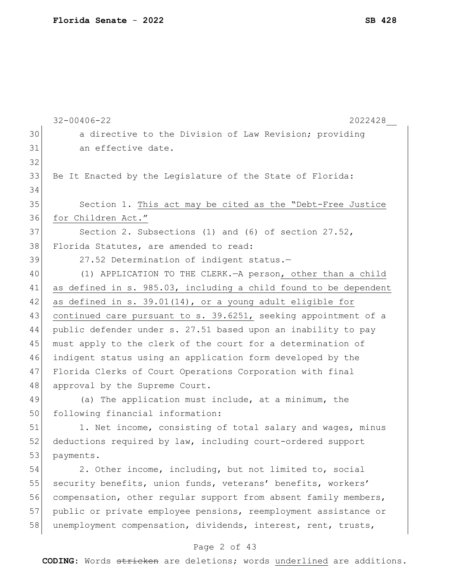|    | $32 - 00406 - 22$<br>2022428                                     |
|----|------------------------------------------------------------------|
| 30 | a directive to the Division of Law Revision; providing           |
| 31 | an effective date.                                               |
| 32 |                                                                  |
| 33 | Be It Enacted by the Legislature of the State of Florida:        |
| 34 |                                                                  |
| 35 | Section 1. This act may be cited as the "Debt-Free Justice       |
| 36 | for Children Act."                                               |
| 37 | Section 2. Subsections (1) and (6) of section 27.52,             |
| 38 | Florida Statutes, are amended to read:                           |
| 39 | 27.52 Determination of indigent status.-                         |
| 40 | (1) APPLICATION TO THE CLERK. - A person, other than a child     |
| 41 | as defined in s. 985.03, including a child found to be dependent |
| 42 | as defined in s. 39.01(14), or a young adult eligible for        |
| 43 | continued care pursuant to s. 39.6251, seeking appointment of a  |
| 44 | public defender under s. 27.51 based upon an inability to pay    |
| 45 | must apply to the clerk of the court for a determination of      |
| 46 | indigent status using an application form developed by the       |
| 47 | Florida Clerks of Court Operations Corporation with final        |
| 48 | approval by the Supreme Court.                                   |
| 49 | (a) The application must include, at a minimum, the              |
| 50 | following financial information:                                 |
| 51 | 1. Net income, consisting of total salary and wages, minus       |
| 52 | deductions required by law, including court-ordered support      |
| 53 | payments.                                                        |
| 54 | 2. Other income, including, but not limited to, social           |
| 55 | security benefits, union funds, veterans' benefits, workers'     |
| 56 | compensation, other regular support from absent family members,  |
| 57 | public or private employee pensions, reemployment assistance or  |
| 58 | unemployment compensation, dividends, interest, rent, trusts,    |
|    |                                                                  |

## Page 2 of 43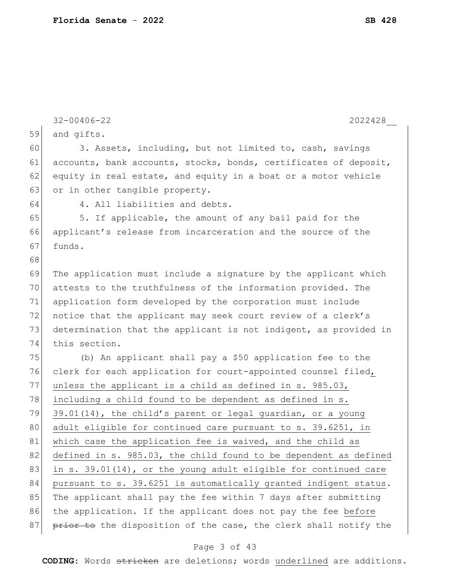|    | $32 - 00406 - 22$<br>2022428                                     |
|----|------------------------------------------------------------------|
| 59 | and gifts.                                                       |
| 60 | 3. Assets, including, but not limited to, cash, savings          |
| 61 | accounts, bank accounts, stocks, bonds, certificates of deposit, |
| 62 | equity in real estate, and equity in a boat or a motor vehicle   |
| 63 | or in other tangible property.                                   |
| 64 | 4. All liabilities and debts.                                    |
| 65 | 5. If applicable, the amount of any bail paid for the            |
| 66 | applicant's release from incarceration and the source of the     |
| 67 | funds.                                                           |
| 68 |                                                                  |
| 69 | The application must include a signature by the applicant which  |
| 70 | attests to the truthfulness of the information provided. The     |
| 71 | application form developed by the corporation must include       |
| 72 | notice that the applicant may seek court review of a clerk's     |
| 73 | determination that the applicant is not indigent, as provided in |
| 74 | this section.                                                    |
| 75 | (b) An applicant shall pay a \$50 application fee to the         |
| 76 | clerk for each application for court-appointed counsel filed,    |
| 77 | unless the applicant is a child as defined in s. 985.03,         |
| 78 | including a child found to be dependent as defined in s.         |
| 79 | 39.01(14), the child's parent or legal guardian, or a young      |
| 80 | adult eligible for continued care pursuant to s. 39.6251, in     |
| 81 | which case the application fee is waived, and the child as       |
| 82 | defined in s. 985.03, the child found to be dependent as defined |
| 83 | in s. 39.01(14), or the young adult eligible for continued care  |
| 84 | pursuant to s. 39.6251 is automatically granted indigent status. |
| 85 | The applicant shall pay the fee within 7 days after submitting   |
| 86 | the application. If the applicant does not pay the fee before    |
| 87 | prior to the disposition of the case, the clerk shall notify the |
|    |                                                                  |

### Page 3 of 43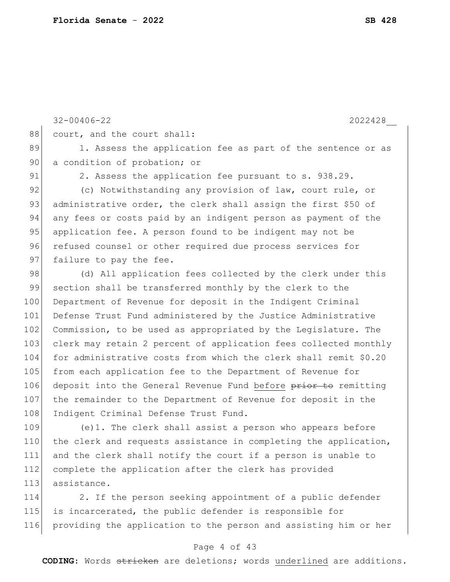|     | $32 - 00406 - 22$<br>2022428                                     |
|-----|------------------------------------------------------------------|
| 88  | court, and the court shall:                                      |
| 89  | 1. Assess the application fee as part of the sentence or as      |
| 90  | a condition of probation; or                                     |
| 91  | 2. Assess the application fee pursuant to s. 938.29.             |
| 92  | (c) Notwithstanding any provision of law, court rule, or         |
| 93  | administrative order, the clerk shall assign the first \$50 of   |
| 94  | any fees or costs paid by an indigent person as payment of the   |
| 95  | application fee. A person found to be indigent may not be        |
| 96  | refused counsel or other required due process services for       |
| 97  | failure to pay the fee.                                          |
| 98  | (d) All application fees collected by the clerk under this       |
| 99  | section shall be transferred monthly by the clerk to the         |
| 100 | Department of Revenue for deposit in the Indigent Criminal       |
| 101 | Defense Trust Fund administered by the Justice Administrative    |
| 102 | Commission, to be used as appropriated by the Legislature. The   |
| 103 | clerk may retain 2 percent of application fees collected monthly |
| 104 | for administrative costs from which the clerk shall remit \$0.20 |
| 105 | from each application fee to the Department of Revenue for       |
| 106 | deposit into the General Revenue Fund before prior to remitting  |
| 107 | the remainder to the Department of Revenue for deposit in the    |
| 108 | Indigent Criminal Defense Trust Fund.                            |
| 100 |                                                                  |

109 (e)1. The clerk shall assist a person who appears before 110 the clerk and requests assistance in completing the application, 111 and the clerk shall notify the court if a person is unable to 112 complete the application after the clerk has provided 113 assistance.

114 2. If the person seeking appointment of a public defender 115 is incarcerated, the public defender is responsible for 116 providing the application to the person and assisting him or her

### Page 4 of 43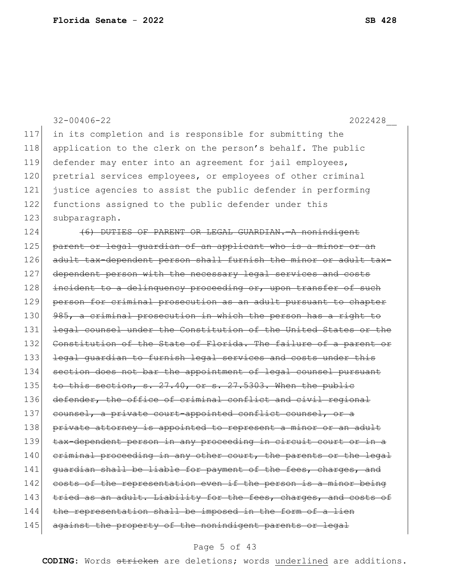|     | $32 - 00406 - 22$<br>2022428                                     |
|-----|------------------------------------------------------------------|
| 117 | in its completion and is responsible for submitting the          |
| 118 | application to the clerk on the person's behalf. The public      |
| 119 | defender may enter into an agreement for jail employees,         |
| 120 | pretrial services employees, or employees of other criminal      |
| 121 | justice agencies to assist the public defender in performing     |
| 122 | functions assigned to the public defender under this             |
| 123 | subparagraph.                                                    |
| 124 | (6) DUTIES OF PARENT OR LEGAL GUARDIAN. A nonindigent            |
| 125 | parent or legal guardian of an applicant who is a minor or an    |
| 126 | adult tax-dependent person shall furnish the minor or adult tax- |
| 127 | dependent person with the necessary legal services and costs     |
| 128 | incident to a delinquency proceeding or, upon transfer of such   |
| 129 | person for criminal prosecution as an adult pursuant to chapter  |
| 130 | 985, a criminal prosecution in which the person has a right to   |
| 131 | legal counsel under the Constitution of the United States or the |
| 132 | Constitution of the State of Florida. The failure of a parent or |
| 133 | legal guardian to furnish legal services and costs under this    |
| 134 | section does not bar the appointment of legal counsel pursuant   |
| 135 | to this section, s. 27.40, or s. 27.5303. When the public        |
| 136 | defender, the office of criminal conflict and civil regional     |
| 137 | counsel, a private court-appointed conflict counsel, or a        |
| 138 | private attorney is appointed to represent a minor or an adult   |
| 139 | tax-dependent person in any proceeding in circuit court or in a  |
| 140 | eriminal proceeding in any other court, the parents or the legal |
| 141 | guardian shall be liable for payment of the fees, charges, and   |
| 142 | costs of the representation even if the person is a minor being  |
| 143 | tried as an adult. Liability for the fees, charges, and costs of |
| 144 | the representation shall be imposed in the form of a lien        |
| 145 | against the property of the nonindigent parents or legal         |

## Page 5 of 43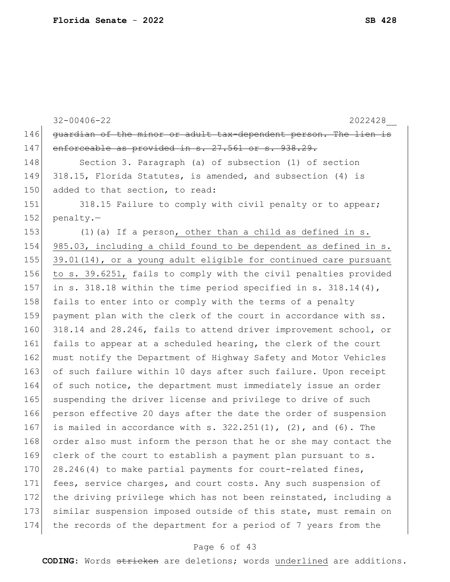32-00406-22 2022428\_\_ 146 guardian of the minor or adult tax-dependent person. The lien is 147 enforceable as provided in s. 27.561 or s. 938.29. 148 Section 3. Paragraph (a) of subsection (1) of section 149 318.15, Florida Statutes, is amended, and subsection (4) is 150 added to that section, to read: 151 318.15 Failure to comply with civil penalty or to appear; 152 penalty.-153  $(1)(a)$  If a person, other than a child as defined in s. 154 985.03, including a child found to be dependent as defined in s. 155 39.01(14), or a young adult eligible for continued care pursuant 156 to s. 39.6251, fails to comply with the civil penalties provided 157 in s. 318.18 within the time period specified in s. 318.14 $(4)$ , 158 fails to enter into or comply with the terms of a penalty 159 payment plan with the clerk of the court in accordance with ss. 160 318.14 and 28.246, fails to attend driver improvement school, or 161 fails to appear at a scheduled hearing, the clerk of the court 162 must notify the Department of Highway Safety and Motor Vehicles 163 of such failure within 10 days after such failure. Upon receipt 164 of such notice, the department must immediately issue an order 165 suspending the driver license and privilege to drive of such 166 person effective 20 days after the date the order of suspension 167 is mailed in accordance with s.  $322.251(1)$ ,  $(2)$ , and  $(6)$ . The 168 order also must inform the person that he or she may contact the 169 clerk of the court to establish a payment plan pursuant to s. 170 28.246(4) to make partial payments for court-related fines, 171 fees, service charges, and court costs. Any such suspension of 172 the driving privilege which has not been reinstated, including a 173 similar suspension imposed outside of this state, must remain on 174 the records of the department for a period of 7 years from the

#### Page 6 of 43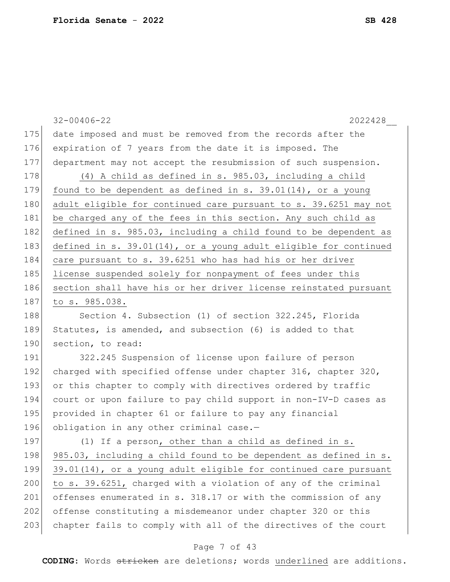|     | $32 - 00406 - 22$<br>2022428                                     |
|-----|------------------------------------------------------------------|
| 175 | date imposed and must be removed from the records after the      |
| 176 | expiration of 7 years from the date it is imposed. The           |
| 177 | department may not accept the resubmission of such suspension.   |
| 178 | (4) A child as defined in s. 985.03, including a child           |
| 179 | found to be dependent as defined in s. $39.01(14)$ , or a young  |
| 180 | adult eligible for continued care pursuant to s. 39.6251 may not |
| 181 | be charged any of the fees in this section. Any such child as    |
| 182 | defined in s. 985.03, including a child found to be dependent as |
| 183 | defined in s. 39.01(14), or a young adult eligible for continued |
| 184 | care pursuant to s. 39.6251 who has had his or her driver        |
| 185 | license suspended solely for nonpayment of fees under this       |
| 186 | section shall have his or her driver license reinstated pursuant |
| 187 | to s. 985.038.                                                   |
| 188 | Section 4. Subsection (1) of section 322.245, Florida            |
| 189 | Statutes, is amended, and subsection (6) is added to that        |
| 190 | section, to read:                                                |
| 191 | 322.245 Suspension of license upon failure of person             |
| 192 | charged with specified offense under chapter 316, chapter 320,   |
| 193 | or this chapter to comply with directives ordered by traffic     |
| 194 | court or upon failure to pay child support in non-IV-D cases as  |
| 195 | provided in chapter 61 or failure to pay any financial           |
| 196 | obligation in any other criminal case.-                          |
| 197 | (1) If a person, other than a child as defined in s.             |
| 198 | 985.03, including a child found to be dependent as defined in s. |
| 199 | 39.01(14), or a young adult eligible for continued care pursuant |
| 200 | to s. 39.6251, charged with a violation of any of the criminal   |
| 201 | offenses enumerated in s. 318.17 or with the commission of any   |
| 202 | offense constituting a misdemeanor under chapter 320 or this     |
| 203 | chapter fails to comply with all of the directives of the court  |
|     | Page 7 of 43                                                     |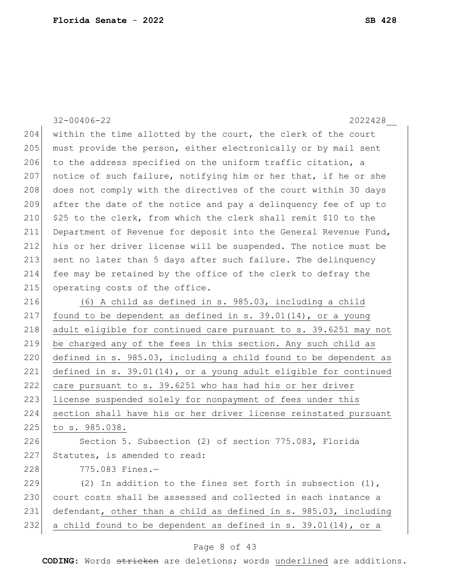|     | $32 - 00406 - 22$<br>2022428                                        |
|-----|---------------------------------------------------------------------|
| 204 | within the time allotted by the court, the clerk of the court       |
| 205 | must provide the person, either electronically or by mail sent      |
| 206 | to the address specified on the uniform traffic citation, a         |
| 207 | notice of such failure, notifying him or her that, if he or she     |
| 208 | does not comply with the directives of the court within 30 days     |
| 209 | after the date of the notice and pay a delinquency fee of up to     |
| 210 | \$25 to the clerk, from which the clerk shall remit \$10 to the     |
| 211 | Department of Revenue for deposit into the General Revenue Fund,    |
| 212 | his or her driver license will be suspended. The notice must be     |
| 213 | sent no later than 5 days after such failure. The delinquency       |
| 214 | fee may be retained by the office of the clerk to defray the        |
| 215 | operating costs of the office.                                      |
| 216 | (6) A child as defined in s. 985.03, including a child              |
| 217 | found to be dependent as defined in s. $39.01(14)$ , or a young     |
| 218 | adult eligible for continued care pursuant to s. 39.6251 may not    |
| 219 | be charged any of the fees in this section. Any such child as       |
| 220 | defined in s. 985.03, including a child found to be dependent as    |
| 221 | defined in $s. 39.01(14)$ , or a young adult eligible for continued |
| 222 | care pursuant to s. 39.6251 who has had his or her driver           |
| 223 | license suspended solely for nonpayment of fees under this          |
| 224 | section shall have his or her driver license reinstated pursuant    |
| 225 | to s. 985.038.                                                      |
| 226 | Section 5. Subsection (2) of section 775.083, Florida               |
| 227 | Statutes, is amended to read:                                       |
| 228 | 775.083 Fines.-                                                     |
| 229 | (2) In addition to the fines set forth in subsection $(1)$ ,        |
| 230 | court costs shall be assessed and collected in each instance a      |
| 231 | defendant, other than a child as defined in s. 985.03, including    |
| 232 | a child found to be dependent as defined in s. 39.01(14), or a      |
|     |                                                                     |

## Page 8 of 43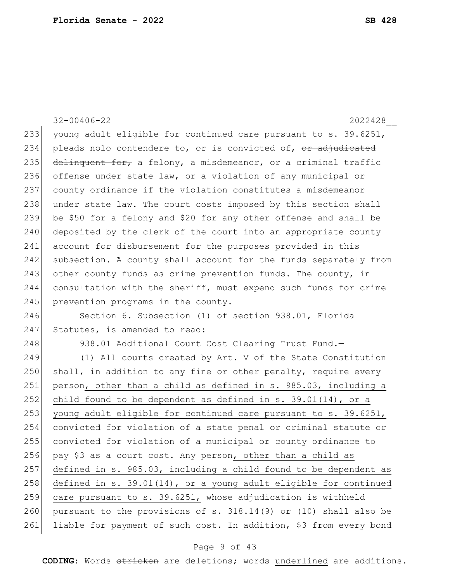32-00406-22 2022428\_\_ 233 young adult eligible for continued care pursuant to s. 39.6251, 234 pleads nolo contendere to, or is convicted of, or adjudicated 235 delinquent for, a felony, a misdemeanor, or a criminal traffic 236 offense under state law, or a violation of any municipal or 237 county ordinance if the violation constitutes a misdemeanor 238 under state law. The court costs imposed by this section shall 239 be \$50 for a felony and \$20 for any other offense and shall be 240 deposited by the clerk of the court into an appropriate county 241 account for disbursement for the purposes provided in this 242 subsection. A county shall account for the funds separately from 243 other county funds as crime prevention funds. The county, in 244 consultation with the sheriff, must expend such funds for crime 245 prevention programs in the county.

246 Section 6. Subsection (1) of section 938.01, Florida 247 Statutes, is amended to read:

248 938.01 Additional Court Cost Clearing Trust Fund.

249 (1) All courts created by Art. V of the State Constitution 250 shall, in addition to any fine or other penalty, require every 251 person, other than a child as defined in s. 985.03, including a 252 child found to be dependent as defined in s. 39.01(14), or a 253 young adult eligible for continued care pursuant to  $s. 39.6251$ , 254 convicted for violation of a state penal or criminal statute or 255 convicted for violation of a municipal or county ordinance to 256 pay \$3 as a court cost. Any person, other than a child as 257 defined in s. 985.03, including a child found to be dependent as 258 defined in s. 39.01(14), or a young adult eligible for continued 259 care pursuant to s. 39.6251, whose adjudication is withheld 260 pursuant to the provisions of s.  $318.14(9)$  or (10) shall also be 261 liable for payment of such cost. In addition, \$3 from every bond

#### Page 9 of 43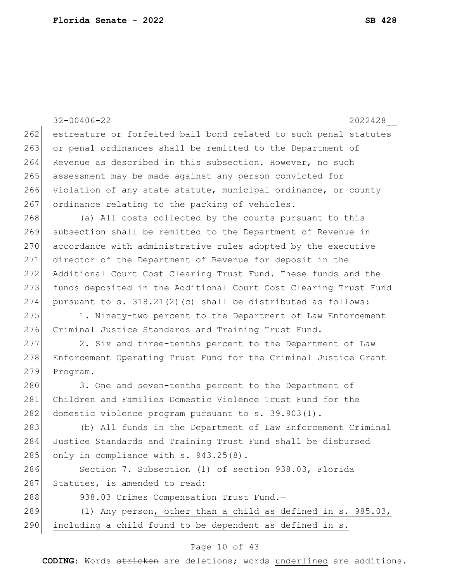|     | $32 - 00406 - 22$<br>2022428                                     |
|-----|------------------------------------------------------------------|
| 262 | estreature or forfeited bail bond related to such penal statutes |
| 263 | or penal ordinances shall be remitted to the Department of       |
| 264 | Revenue as described in this subsection. However, no such        |
| 265 | assessment may be made against any person convicted for          |
| 266 | violation of any state statute, municipal ordinance, or county   |
| 267 | ordinance relating to the parking of vehicles.                   |
| 268 | (a) All costs collected by the courts pursuant to this           |
| 269 | subsection shall be remitted to the Department of Revenue in     |
| 270 | accordance with administrative rules adopted by the executive    |
| 271 | director of the Department of Revenue for deposit in the         |
| 272 | Additional Court Cost Clearing Trust Fund. These funds and the   |
| 273 | funds deposited in the Additional Court Cost Clearing Trust Fund |
| 274 | pursuant to s. $318.21(2)$ (c) shall be distributed as follows:  |
| 275 | 1. Ninety-two percent to the Department of Law Enforcement       |
| 276 | Criminal Justice Standards and Training Trust Fund.              |
| 277 | 2. Six and three-tenths percent to the Department of Law         |
| 278 | Enforcement Operating Trust Fund for the Criminal Justice Grant  |
| 279 | Program.                                                         |
| 280 | 3. One and seven-tenths percent to the Department of             |
| 281 | Children and Families Domestic Violence Trust Fund for the       |
| 282 | domestic violence program pursuant to s. 39.903(1).              |
| 283 | (b) All funds in the Department of Law Enforcement Criminal      |
| 284 | Justice Standards and Training Trust Fund shall be disbursed     |
| 285 | only in compliance with s. 943.25(8).                            |
| 286 | Section 7. Subsection (1) of section 938.03, Florida             |
| 287 | Statutes, is amended to read:                                    |
| 288 | 938.03 Crimes Compensation Trust Fund.-                          |
| 289 | (1) Any person, other than a child as defined in s. 985.03,      |
| 290 | including a child found to be dependent as defined in s.         |
|     |                                                                  |

## Page 10 of 43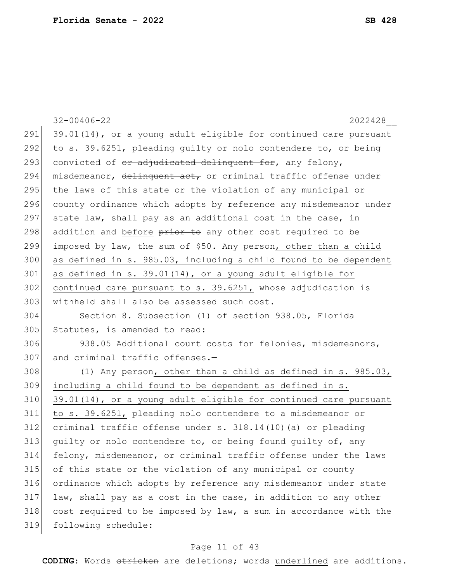32-00406-22 2022428\_\_ 291 39.01(14), or a young adult eligible for continued care pursuant 292 to s. 39.6251, pleading guilty or nolo contendere to, or being 293 convicted of  $e^2$  adjudicated delinguent for, any felony, 294 misdemeanor, delinquent act, or criminal traffic offense under 295 the laws of this state or the violation of any municipal or 296 county ordinance which adopts by reference any misdemeanor under 297 state law, shall pay as an additional cost in the case, in 298 addition and before prior to any other cost required to be 299 imposed by law, the sum of \$50. Any person, other than a child 300 as defined in s. 985.03, including a child found to be dependent 301 as defined in s. 39.01(14), or a young adult eligible for  $302$  continued care pursuant to s. 39.6251, whose adjudication is 303 withheld shall also be assessed such cost. 304 Section 8. Subsection (1) of section 938.05, Florida 305 Statutes, is amended to read: 306 938.05 Additional court costs for felonies, misdemeanors, 307 and criminal traffic offenses.- $308$  (1) Any person, other than a child as defined in s. 985.03, 309 including a child found to be dependent as defined in s. 310 39.01(14), or a young adult eligible for continued care pursuant 311 to s. 39.6251, pleading nolo contendere to a misdemeanor or 312 criminal traffic offense under s. 318.14(10)(a) or pleading 313 guilty or nolo contendere to, or being found guilty of, any 314 felony, misdemeanor, or criminal traffic offense under the laws 315 of this state or the violation of any municipal or county 316 ordinance which adopts by reference any misdemeanor under state  $317$  law, shall pay as a cost in the case, in addition to any other 318 cost required to be imposed by law, a sum in accordance with the 319 following schedule:

#### Page 11 of 43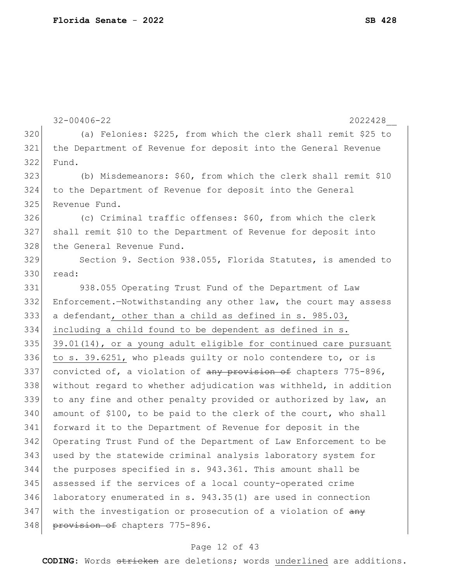```
32-00406-22 2022428__
320 (a) Felonies: $225, from which the clerk shall remit $25 to 
321 the Department of Revenue for deposit into the General Revenue 
322 Fund.
323 (b) Misdemeanors: $60, from which the clerk shall remit $10 
324 to the Department of Revenue for deposit into the General 
325 Revenue Fund.
326 (c) Criminal traffic offenses: $60, from which the clerk
327 shall remit $10 to the Department of Revenue for deposit into 
328 the General Revenue Fund.
329 Section 9. Section 938.055, Florida Statutes, is amended to 
330 read:
331 938.055 Operating Trust Fund of the Department of Law 
332 Enforcement.—Notwithstanding any other law, the court may assess 
333 a defendant, other than a child as defined in s. 985.03, 
334 including a child found to be dependent as defined in s. 
335 39.01(14), or a young adult eligible for continued care pursuant
336 to s. 39.6251, who pleads quilty or nolo contendere to, or is
337 convicted of, a violation of any provision of chapters 775-896,
338 without regard to whether adjudication was withheld, in addition 
339 to any fine and other penalty provided or authorized by law, an
340 amount of $100, to be paid to the clerk of the court, who shall
341 forward it to the Department of Revenue for deposit in the 
342 Operating Trust Fund of the Department of Law Enforcement to be 
343 used by the statewide criminal analysis laboratory system for 
344 the purposes specified in s. 943.361. This amount shall be 
345 assessed if the services of a local county-operated crime 
346 laboratory enumerated in s. 943.35(1) are used in connection 
347 with the investigation or prosecution of a violation of \frac{any}{any}348 provision of chapters 775-896.
```
#### Page 12 of 43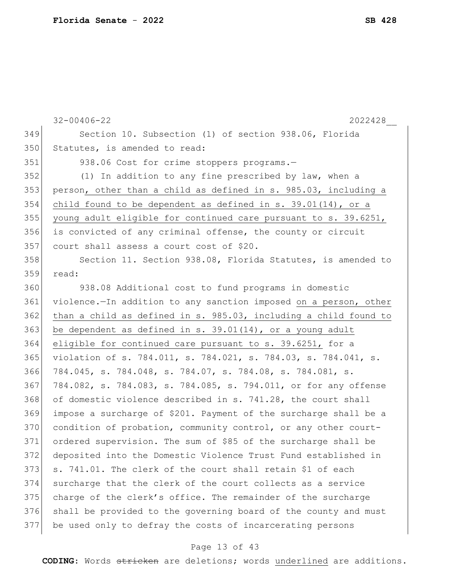32-00406-22 2022428\_\_ Section 10. Subsection (1) of section 938.06, Florida 350 Statutes, is amended to read: 351 938.06 Cost for crime stoppers programs.- (1) In addition to any fine prescribed by law, when a person, other than a child as defined in s. 985.03, including a 354 child found to be dependent as defined in s. 39.01(14), or a young adult eligible for continued care pursuant to s. 39.6251, is convicted of any criminal offense, the county or circuit 357 court shall assess a court cost of \$20. 358 Section 11. Section 938.08, Florida Statutes, is amended to read: 938.08 Additional cost to fund programs in domestic violence.—In addition to any sanction imposed on a person, other than a child as defined in s. 985.03, including a child found to 363 be dependent as defined in s. 39.01(14), or a young adult eligible for continued care pursuant to s. 39.6251, for a violation of s. 784.011, s. 784.021, s. 784.03, s. 784.041, s. 784.045, s. 784.048, s. 784.07, s. 784.08, s. 784.081, s. 784.082, s. 784.083, s. 784.085, s. 794.011, or for any offense 368 of domestic violence described in s. 741.28, the court shall impose a surcharge of \$201. Payment of the surcharge shall be a 370 condition of probation, community control, or any other court- ordered supervision. The sum of \$85 of the surcharge shall be deposited into the Domestic Violence Trust Fund established in s. 741.01. The clerk of the court shall retain \$1 of each surcharge that the clerk of the court collects as a service 375 charge of the clerk's office. The remainder of the surcharge shall be provided to the governing board of the county and must be used only to defray the costs of incarcerating persons

#### Page 13 of 43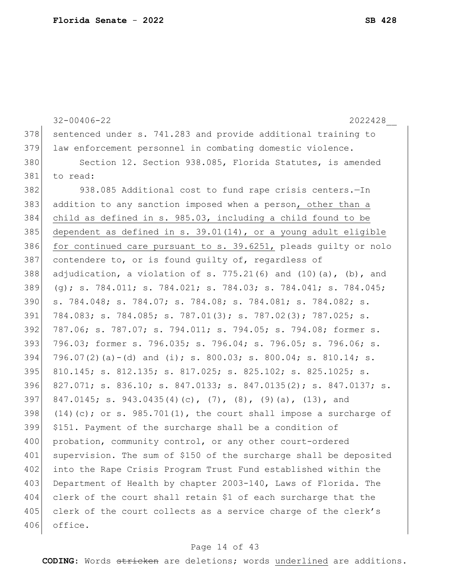|     | $32 - 00406 - 22$<br>2022428                                            |
|-----|-------------------------------------------------------------------------|
| 378 | sentenced under s. 741.283 and provide additional training to           |
| 379 | law enforcement personnel in combating domestic violence.               |
| 380 | Section 12. Section 938.085, Florida Statutes, is amended               |
| 381 | to read:                                                                |
| 382 | 938.085 Additional cost to fund rape crisis centers.-In                 |
| 383 | addition to any sanction imposed when a person, other than a            |
| 384 | child as defined in s. 985.03, including a child found to be            |
| 385 | dependent as defined in s. $39.01(14)$ , or a young adult eligible      |
| 386 | for continued care pursuant to s. 39.6251, pleads guilty or nolo        |
| 387 | contendere to, or is found quilty of, regardless of                     |
| 388 | adjudication, a violation of s. $775.21(6)$ and $(10)(a)$ , $(b)$ , and |
| 389 | (q); s. 784.011; s. 784.021; s. 784.03; s. 784.041; s. 784.045;         |
| 390 | s. 784.048; s. 784.07; s. 784.08; s. 784.081; s. 784.082; s.            |
| 391 | 784.083; s. 784.085; s. 787.01(3); s. 787.02(3); 787.025; s.            |
| 392 | 787.06; s. 787.07; s. 794.011; s. 794.05; s. 794.08; former s.          |
| 393 | 796.03; former s. 796.035; s. 796.04; s. 796.05; s. 796.06; s.          |
| 394 | 796.07(2)(a)-(d) and (i); s. 800.03; s. 800.04; s. 810.14; s.           |
| 395 | 810.145; s. 812.135; s. 817.025; s. 825.102; s. 825.1025; s.            |
| 396 | 827.071; s. 836.10; s. 847.0133; s. 847.0135(2); s. 847.0137; s.        |
| 397 | 847.0145; s. 943.0435(4)(c), (7), (8), (9)(a), (13), and                |
| 398 | $(14)$ (c); or s. 985.701(1), the court shall impose a surcharge of     |
| 399 | \$151. Payment of the surcharge shall be a condition of                 |
| 400 | probation, community control, or any other court-ordered                |
| 401 | supervision. The sum of \$150 of the surcharge shall be deposited       |
| 402 | into the Rape Crisis Program Trust Fund established within the          |
| 403 | Department of Health by chapter 2003-140, Laws of Florida. The          |
| 404 | clerk of the court shall retain \$1 of each surcharge that the          |
| 405 | clerk of the court collects as a service charge of the clerk's          |
| 406 | office.                                                                 |
|     |                                                                         |

## Page 14 of 43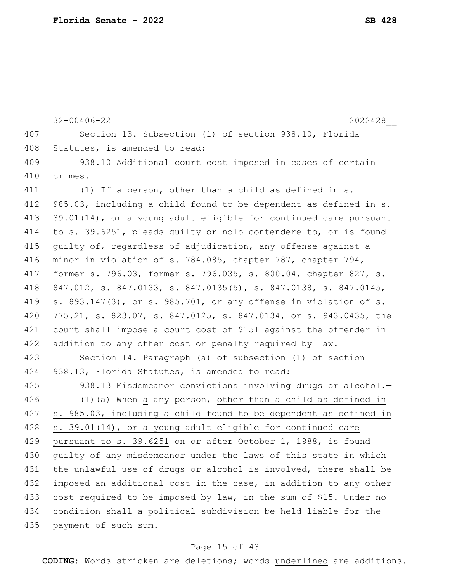32-00406-22 2022428\_\_ 407 Section 13. Subsection (1) of section 938.10, Florida 408 Statutes, is amended to read: 409 938.10 Additional court cost imposed in cases of certain 410 crimes.— 411 (1) If a person, other than a child as defined in s. 412 985.03, including a child found to be dependent as defined in s. 413 39.01(14), or a young adult eligible for continued care pursuant 414 to s. 39.6251, pleads guilty or nolo contendere to, or is found 415 quilty of, regardless of adjudication, any offense against a 416 minor in violation of s. 784.085, chapter 787, chapter 794, 417 former s. 796.03, former s. 796.035, s. 800.04, chapter 827, s. 418 847.012, s. 847.0133, s. 847.0135(5), s. 847.0138, s. 847.0145, 419 s. 893.147(3), or s. 985.701, or any offense in violation of s. 420 775.21, s. 823.07, s. 847.0125, s. 847.0134, or s. 943.0435, the 421 court shall impose a court cost of \$151 against the offender in 422 addition to any other cost or penalty required by law. 423 Section 14. Paragraph (a) of subsection (1) of section 424 938.13, Florida Statutes, is amended to read: 425 938.13 Misdemeanor convictions involving drugs or alcohol.— 426 (1) (a) When a  $\frac{a}{a}$  person, other than a child as defined in 427 s. 985.03, including a child found to be dependent as defined in 428 s. 39.01(14), or a young adult eligible for continued care 429 pursuant to s. 39.6251 on or after October 1, 1988, is found 430 quilty of any misdemeanor under the laws of this state in which 431 the unlawful use of drugs or alcohol is involved, there shall be 432 imposed an additional cost in the case, in addition to any other 433 cost required to be imposed by law, in the sum of \$15. Under no 434 condition shall a political subdivision be held liable for the 435 payment of such sum.

#### Page 15 of 43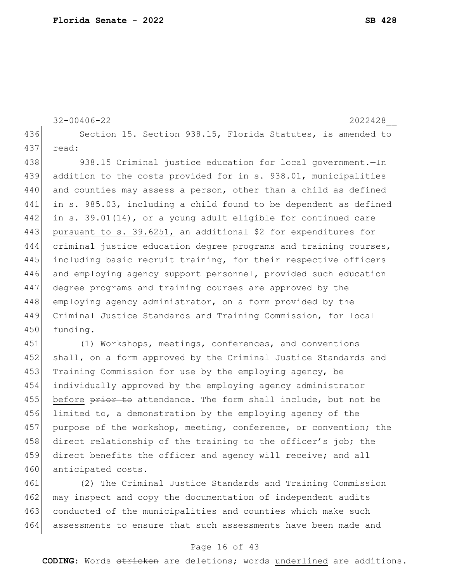```
32-00406-22 2022428__
436 Section 15. Section 938.15, Florida Statutes, is amended to
437 read:
438 938.15 Criminal justice education for local government.—In
439 addition to the costs provided for in s. 938.01, municipalities 
440 and counties may assess a person, other than a child as defined
441 in s. 985.03, including a child found to be dependent as defined
```
442 in s. 39.01(14), or a young adult eligible for continued care 443 | pursuant to s. 39.6251, an additional \$2 for expenditures for 444 criminal justice education degree programs and training courses, 445 including basic recruit training, for their respective officers 446 and employing agency support personnel, provided such education 447 degree programs and training courses are approved by the 448 employing agency administrator, on a form provided by the 449 Criminal Justice Standards and Training Commission, for local 450 funding.

451 (1) Workshops, meetings, conferences, and conventions 452 shall, on a form approved by the Criminal Justice Standards and 453 Training Commission for use by the employing agency, be 454 individually approved by the employing agency administrator 455 before prior to attendance. The form shall include, but not be 456 limited to, a demonstration by the employing agency of the 457 purpose of the workshop, meeting, conference, or convention; the 458 direct relationship of the training to the officer's job; the 459 direct benefits the officer and agency will receive; and all 460 anticipated costs.

461 (2) The Criminal Justice Standards and Training Commission 462 may inspect and copy the documentation of independent audits 463 conducted of the municipalities and counties which make such 464 assessments to ensure that such assessments have been made and

#### Page 16 of 43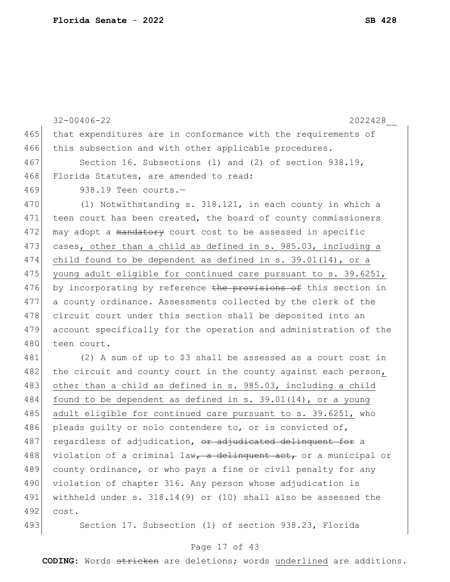|     | $32 - 00406 - 22$<br>2022428                                     |
|-----|------------------------------------------------------------------|
| 465 | that expenditures are in conformance with the requirements of    |
| 466 | this subsection and with other applicable procedures.            |
| 467 | Section 16. Subsections (1) and (2) of section 938.19,           |
| 468 | Florida Statutes, are amended to read:                           |
| 469 | 938.19 Teen courts.-                                             |
| 470 | (1) Notwithstanding s. 318.121, in each county in which a        |
| 471 | teen court has been created, the board of county commissioners   |
| 472 | may adopt a mandatory court cost to be assessed in specific      |
| 473 | cases, other than a child as defined in s. 985.03, including a   |
| 474 | child found to be dependent as defined in $s. 39.01(14)$ , or a  |
| 475 | young adult eligible for continued care pursuant to s. 39.6251,  |
| 476 | by incorporating by reference the provisions of this section in  |
| 477 | a county ordinance. Assessments collected by the clerk of the    |
| 478 | circuit court under this section shall be deposited into an      |
| 479 | account specifically for the operation and administration of the |
| 480 | teen court.                                                      |
| 481 | (2) A sum of up to \$3 shall be assessed as a court cost in      |
| 482 | the circuit and county court in the county against each person,  |
| 483 | other than a child as defined in s. 985.03, including a child    |
| 484 | found to be dependent as defined in s. $39.01(14)$ , or a young  |
| 485 | adult eligible for continued care pursuant to s. 39.6251, who    |
| 486 | pleads guilty or nolo contendere to, or is convicted of,         |
| 487 | regardless of adjudication, or adjudicated delinquent for a      |
| 488 | violation of a criminal law, a delinquent act, or a municipal or |
| 489 | county ordinance, or who pays a fine or civil penalty for any    |
| 490 | violation of chapter 316. Any person whose adjudication is       |
| 491 | withheld under $s. 318.14(9)$ or (10) shall also be assessed the |
| 492 | cost.                                                            |

493 Section 17. Subsection (1) of section 938.23, Florida

### Page 17 of 43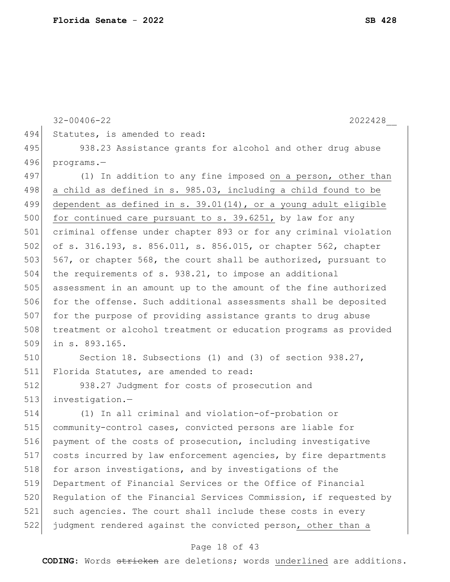```
32-00406-22 2022428__
494 Statutes, is amended to read:
495 938.23 Assistance grants for alcohol and other drug abuse
496 programs.—
497 (1) In addition to any fine imposed on a person, other than
498 a child as defined in s. 985.03, including a child found to be
499 dependent as defined in s. 39.01(14), or a young adult eligible 
500 for continued care pursuant to s. 39.6251, by law for any
501 criminal offense under chapter 893 or for any criminal violation 
502 of s. 316.193, s. 856.011, s. 856.015, or chapter 562, chapter 
503 567, or chapter 568, the court shall be authorized, pursuant to
504 the requirements of s. 938.21, to impose an additional 
505 assessment in an amount up to the amount of the fine authorized
506 for the offense. Such additional assessments shall be deposited
507 for the purpose of providing assistance grants to drug abuse 
508 treatment or alcohol treatment or education programs as provided 
509 in s. 893.165.
510 Section 18. Subsections (1) and (3) of section 938.27,
511 Florida Statutes, are amended to read:
512 938.27 Judgment for costs of prosecution and 
513 investigation.-
514 (1) In all criminal and violation-of-probation or 
515 community-control cases, convicted persons are liable for 
516 payment of the costs of prosecution, including investigative 
517 costs incurred by law enforcement agencies, by fire departments 
518 for arson investigations, and by investigations of the
519 Department of Financial Services or the Office of Financial 
520 Regulation of the Financial Services Commission, if requested by
521 such agencies. The court shall include these costs in every 
522 judgment rendered against the convicted person, other than a
```
#### Page 18 of 43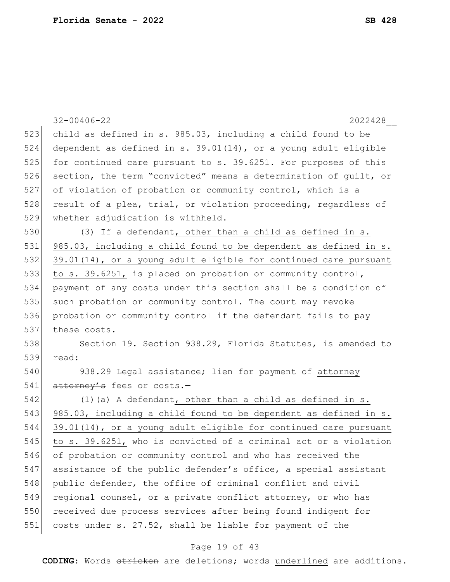|     | $32 - 00406 - 22$<br>2022428                                     |
|-----|------------------------------------------------------------------|
| 523 | child as defined in s. 985.03, including a child found to be     |
| 524 | dependent as defined in s. 39.01(14), or a young adult eligible  |
| 525 | for continued care pursuant to s. 39.6251. For purposes of this  |
| 526 | section, the term "convicted" means a determination of guilt, or |
| 527 | of violation of probation or community control, which is a       |
| 528 | result of a plea, trial, or violation proceeding, regardless of  |
| 529 | whether adjudication is withheld.                                |
| 530 | (3) If a defendant, other than a child as defined in s.          |
| 531 | 985.03, including a child found to be dependent as defined in s. |
| 532 | 39.01(14), or a young adult eligible for continued care pursuant |
| 533 | to s. 39.6251, is placed on probation or community control,      |
| 534 | payment of any costs under this section shall be a condition of  |
| 535 | such probation or community control. The court may revoke        |
| 536 | probation or community control if the defendant fails to pay     |
| 537 | these costs.                                                     |
| 538 | Section 19. Section 938.29, Florida Statutes, is amended to      |
| 539 | read:                                                            |
| 540 | 938.29 Legal assistance; lien for payment of attorney            |
| 541 | attorney's fees or costs.-                                       |
| 542 | $(1)$ (a) A defendant, other than a child as defined in s.       |
| 543 | 985.03, including a child found to be dependent as defined in s. |
| 544 | 39.01(14), or a young adult eligible for continued care pursuant |
| 545 | to s. 39.6251, who is convicted of a criminal act or a violation |
| 546 | of probation or community control and who has received the       |
| 547 | assistance of the public defender's office, a special assistant  |
| 548 | public defender, the office of criminal conflict and civil       |
| 549 | regional counsel, or a private conflict attorney, or who has     |
| 550 | received due process services after being found indigent for     |
| 551 | costs under s. 27.52, shall be liable for payment of the         |
|     | Page 19 of 43                                                    |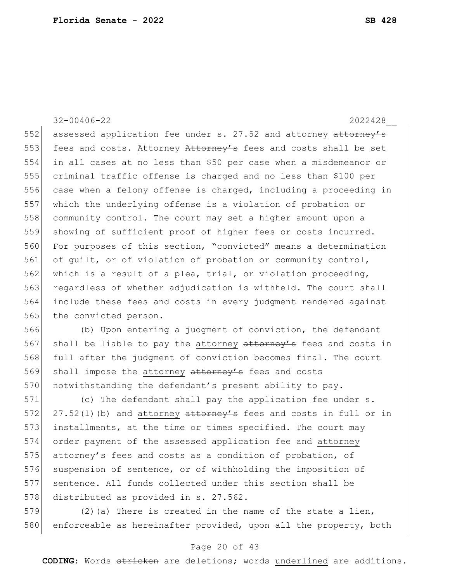32-00406-22 2022428\_\_

552 assessed application fee under s. 27.52 and attorney attorney's 553 fees and costs. Attorney Attorney's fees and costs shall be set 554 in all cases at no less than \$50 per case when a misdemeanor or 555 criminal traffic offense is charged and no less than \$100 per 556 case when a felony offense is charged, including a proceeding in 557 which the underlying offense is a violation of probation or 558 community control. The court may set a higher amount upon a 559 showing of sufficient proof of higher fees or costs incurred. 560 For purposes of this section, "convicted" means a determination 561 of guilt, or of violation of probation or community control, 562 which is a result of a plea, trial, or violation proceeding, 563 regardless of whether adjudication is withheld. The court shall 564 include these fees and costs in every judgment rendered against 565 the convicted person.

566 (b) Upon entering a judgment of conviction, the defendant 567 shall be liable to pay the attorney attorney's fees and costs in 568 full after the judgment of conviction becomes final. The court 569 shall impose the attorney attorney's fees and costs 570 notwithstanding the defendant's present ability to pay.

571 (c) The defendant shall pay the application fee under s. 572 27.52(1)(b) and attorney  $at$  to  $r$  fees and costs in full or in 573 installments, at the time or times specified. The court may 574 order payment of the assessed application fee and attorney 575 attorney's fees and costs as a condition of probation, of 576 suspension of sentence, or of withholding the imposition of 577 sentence. All funds collected under this section shall be 578 distributed as provided in s. 27.562.

579 (2) (a) There is created in the name of the state a lien, 580 enforceable as hereinafter provided, upon all the property, both

#### Page 20 of 43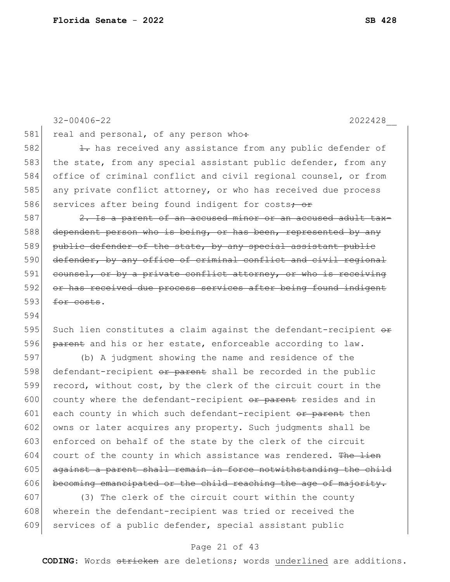32-00406-22 2022428\_\_ 581 real and personal, of any person who: 582 1. has received any assistance from any public defender of 583 the state, from any special assistant public defender, from any 584 office of criminal conflict and civil regional counsel, or from 585 any private conflict attorney, or who has received due process 586 services after being found indigent for costs<del>; or</del> 587 2. Is a parent of an accused minor or an accused adult tax-588 dependent person who is being, or has been, represented by any 589 public defender of the state, by any special assistant public 590 defender, by any office of criminal conflict and civil regional 591 counsel, or by a private conflict attorney, or who is receiving 592 or has received due process services after being found indigent  $593$  for costs. 594 595 Such lien constitutes a claim against the defendant-recipient  $\theta$ 596  $\beta$  parent and his or her estate, enforceable according to law. 597 (b) A judgment showing the name and residence of the 598 defendant-recipient or parent shall be recorded in the public 599 record, without cost, by the clerk of the circuit court in the 600 county where the defendant-recipient  $\sigma$  are resides and in  $601$  each county in which such defendant-recipient or parent then 602 owns or later acquires any property. Such judgments shall be 603 enforced on behalf of the state by the clerk of the circuit  $604$  court of the county in which assistance was rendered. The lien 605 against a parent shall remain in force notwithstanding the child

607 (3) The clerk of the circuit court within the county 608 wherein the defendant-recipient was tried or received the 609 services of a public defender, special assistant public

 $606$  becoming emancipated or the child reaching the age of majority.

#### Page 21 of 43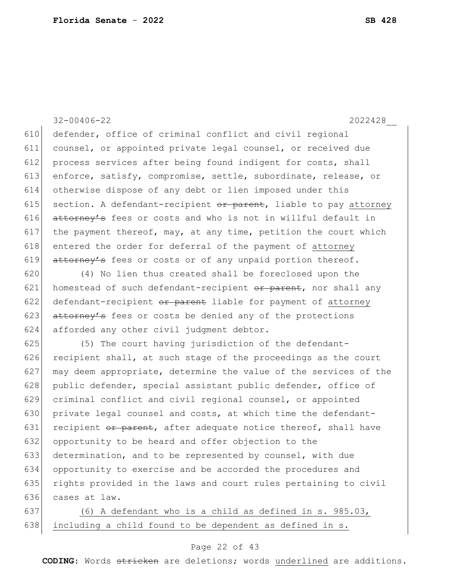32-00406-22 2022428\_\_ 610 defender, office of criminal conflict and civil regional 611 counsel, or appointed private legal counsel, or received due 612 process services after being found indigent for costs, shall 613 enforce, satisfy, compromise, settle, subordinate, release, or 614 otherwise dispose of any debt or lien imposed under this 615 section. A defendant-recipient  $or$  parent, liable to pay attorney 616  $at\text{torney's}$  fees or costs and who is not in willful default in 617 the payment thereof, may, at any time, petition the court which 618 entered the order for deferral of the payment of attorney 619 attorney's fees or costs or of any unpaid portion thereof.

620 (4) No lien thus created shall be foreclosed upon the 621 homestead of such defendant-recipient  $\sigma$  parent, nor shall any 622 defendant-recipient or parent liable for payment of attorney 623  $at$   $\frac{at \text{torney's}}{s}$  fees or costs be denied any of the protections 624 afforded any other civil judgment debtor.

 (5) The court having jurisdiction of the defendant- recipient shall, at such stage of the proceedings as the court 627 may deem appropriate, determine the value of the services of the 628 public defender, special assistant public defender, office of criminal conflict and civil regional counsel, or appointed private legal counsel and costs, at which time the defendant-631 recipient  $\theta$  parent, after adequate notice thereof, shall have opportunity to be heard and offer objection to the determination, and to be represented by counsel, with due opportunity to exercise and be accorded the procedures and rights provided in the laws and court rules pertaining to civil cases at law.

637 (6) A defendant who is a child as defined in s. 985.03,  $638$  including a child found to be dependent as defined in s.

#### Page 22 of 43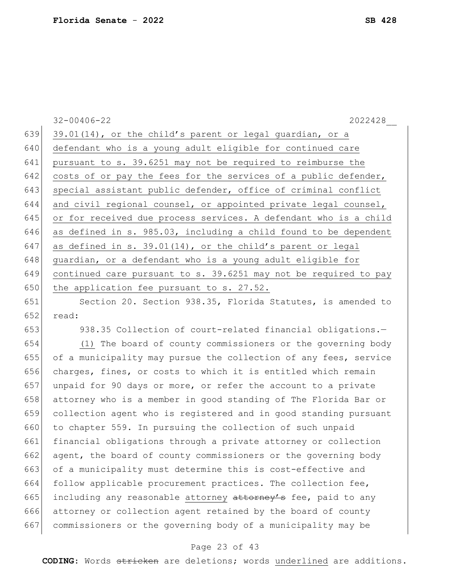|     | $32 - 00406 - 22$<br>2022428                                     |
|-----|------------------------------------------------------------------|
| 639 | 39.01(14), or the child's parent or legal guardian, or a         |
| 640 | defendant who is a young adult eligible for continued care       |
| 641 | pursuant to s. 39.6251 may not be required to reimburse the      |
| 642 | costs of or pay the fees for the services of a public defender,  |
| 643 | special assistant public defender, office of criminal conflict   |
| 644 | and civil regional counsel, or appointed private legal counsel,  |
| 645 | or for received due process services. A defendant who is a child |
| 646 | as defined in s. 985.03, including a child found to be dependent |
| 647 | as defined in s. 39.01(14), or the child's parent or legal       |
| 648 | guardian, or a defendant who is a young adult eligible for       |
| 649 | continued care pursuant to s. 39.6251 may not be required to pay |
| 650 | the application fee pursuant to s. 27.52.                        |
| 651 | Section 20. Section 938.35, Florida Statutes, is amended to      |
| 652 | read:                                                            |
| 653 | 938.35 Collection of court-related financial obligations.-       |
| 654 | (1) The board of county commissioners or the governing body      |
| 655 | of a municipality may pursue the collection of any fees, service |
| 656 | charges, fines, or costs to which it is entitled which remain    |
| 657 | unpaid for 90 days or more, or refer the account to a private    |
| 658 | attorney who is a member in good standing of The Florida Bar or  |
| 659 | collection agent who is registered and in good standing pursuant |
| 660 | to chapter 559. In pursuing the collection of such unpaid        |
| 661 | financial obligations through a private attorney or collection   |
| 662 | agent, the board of county commissioners or the governing body   |
| 663 | of a municipality must determine this is cost-effective and      |
| 664 | follow applicable procurement practices. The collection fee,     |
| 665 | including any reasonable attorney attorney's fee, paid to any    |
| 666 | attorney or collection agent retained by the board of county     |

### Page 23 of 43

commissioners or the governing body of a municipality may be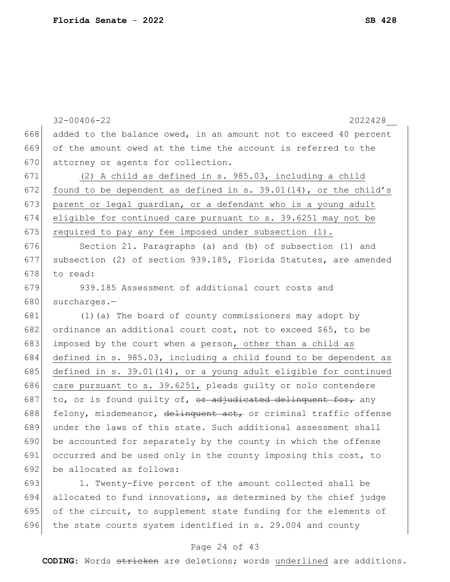32-00406-22 2022428\_\_ 668 added to the balance owed, in an amount not to exceed 40 percent 669 of the amount owed at the time the account is referred to the 670 attorney or agents for collection. 671 (2) A child as defined in s. 985.03, including a child 672 found to be dependent as defined in s. 39.01(14), or the child's 673 parent or legal guardian, or a defendant who is a young adult 674 eligible for continued care pursuant to s. 39.6251 may not be 675 required to pay any fee imposed under subsection  $(1)$ . 676 Section 21. Paragraphs (a) and (b) of subsection (1) and 677 subsection (2) of section 939.185, Florida Statutes, are amended  $678$  to read: 679 939.185 Assessment of additional court costs and 680 surcharges.-681 (1)(a) The board of county commissioners may adopt by 682 ordinance an additional court cost, not to exceed \$65, to be 683 imposed by the court when a person, other than a child as 684 defined in s. 985.03, including a child found to be dependent as 685 defined in s. 39.01(14), or a young adult eligible for continued 686 care pursuant to s.  $39.6251$ , pleads guilty or nolo contendere 687 to, or is found guilty of,  $\theta$ r adjudicated delinquent for, any 688 felony, misdemeanor, delinquent act, or criminal traffic offense 689 under the laws of this state. Such additional assessment shall 690 be accounted for separately by the county in which the offense 691 occurred and be used only in the county imposing this cost, to 692 be allocated as follows: 693 1. Twenty-five percent of the amount collected shall be 694 allocated to fund innovations, as determined by the chief judge 695 of the circuit, to supplement state funding for the elements of 696 the state courts system identified in s. 29.004 and county

#### Page 24 of 43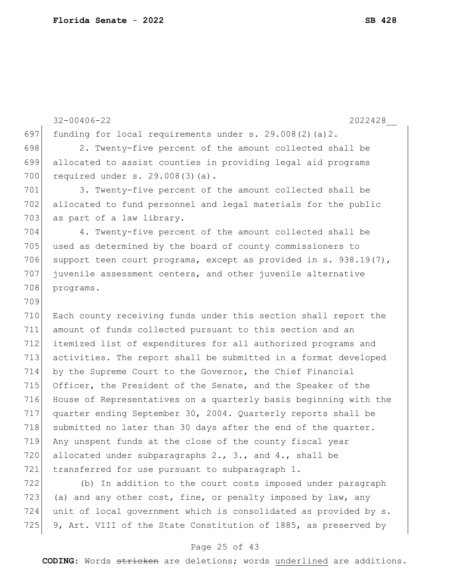32-00406-22 2022428\_\_ 697 funding for local requirements under  $s. 29.008(2)(a)2$ . 698 2. Twenty-five percent of the amount collected shall be 699 allocated to assist counties in providing legal aid programs 700 required under s. 29.008(3)(a). 701 3. Twenty-five percent of the amount collected shall be 702 allocated to fund personnel and legal materials for the public 703 as part of a law library. 704 4. Twenty-five percent of the amount collected shall be 705 used as determined by the board of county commissioners to 706 support teen court programs, except as provided in s. 938.19(7), 707 juvenile assessment centers, and other juvenile alternative 708 programs. 709 710 Each county receiving funds under this section shall report the 711 amount of funds collected pursuant to this section and an 712 itemized list of expenditures for all authorized programs and 713 activities. The report shall be submitted in a format developed 714 by the Supreme Court to the Governor, the Chief Financial 715 Officer, the President of the Senate, and the Speaker of the 716 House of Representatives on a quarterly basis beginning with the 717 quarter ending September 30, 2004. Quarterly reports shall be 718 submitted no later than 30 days after the end of the quarter. 719 Any unspent funds at the close of the county fiscal year 720 allocated under subparagraphs 2., 3., and 4., shall be 721 transferred for use pursuant to subparagraph 1. 722 (b) In addition to the court costs imposed under paragraph 723 (a) and any other cost, fine, or penalty imposed by law, any 724 unit of local government which is consolidated as provided by s. 725 9, Art. VIII of the State Constitution of 1885, as preserved by

#### Page 25 of 43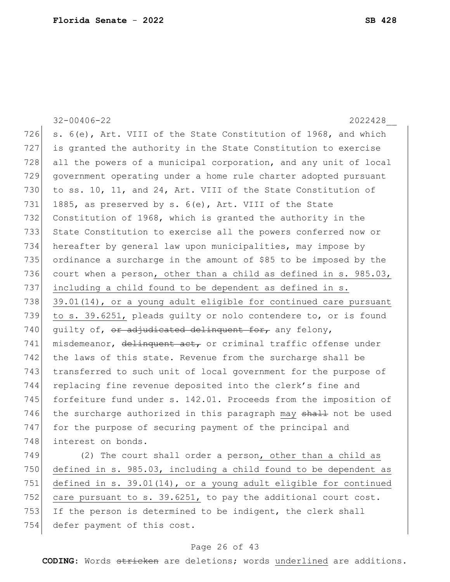|     | $32 - 00406 - 22$<br>2022428                                     |
|-----|------------------------------------------------------------------|
| 726 | s. 6(e), Art. VIII of the State Constitution of 1968, and which  |
| 727 | is granted the authority in the State Constitution to exercise   |
| 728 | all the powers of a municipal corporation, and any unit of local |
| 729 | government operating under a home rule charter adopted pursuant  |
| 730 | to ss. 10, 11, and 24, Art. VIII of the State Constitution of    |
| 731 | 1885, as preserved by s. 6(e), Art. VIII of the State            |
| 732 | Constitution of 1968, which is granted the authority in the      |
| 733 | State Constitution to exercise all the powers conferred now or   |
| 734 | hereafter by general law upon municipalities, may impose by      |
| 735 | ordinance a surcharge in the amount of \$85 to be imposed by the |
| 736 | court when a person, other than a child as defined in s. 985.03, |
| 737 | including a child found to be dependent as defined in s.         |
| 738 | 39.01(14), or a young adult eligible for continued care pursuant |
| 739 | to s. 39.6251, pleads guilty or nolo contendere to, or is found  |
| 740 | quilty of, or adjudicated delinquent for, any felony,            |
| 741 | misdemeanor, delinquent act, or criminal traffic offense under   |
| 742 | the laws of this state. Revenue from the surcharge shall be      |
| 743 | transferred to such unit of local government for the purpose of  |
| 744 | replacing fine revenue deposited into the clerk's fine and       |
| 745 | forfeiture fund under s. 142.01. Proceeds from the imposition of |
| 746 | the surcharge authorized in this paragraph may shall not be used |
| 747 | for the purpose of securing payment of the principal and         |
| 748 | interest on bonds.                                               |
| 749 | (2) The court shall order a person, other than a child as        |
| 750 | defined in s. 985.03, including a child found to be dependent as |
| 751 | defined in s. 39.01(14), or a young adult eligible for continued |
| 752 | care pursuant to s. 39.6251, to pay the additional court cost.   |
| 753 | If the person is determined to be indigent, the clerk shall      |

# defer payment of this cost.

### Page 26 of 43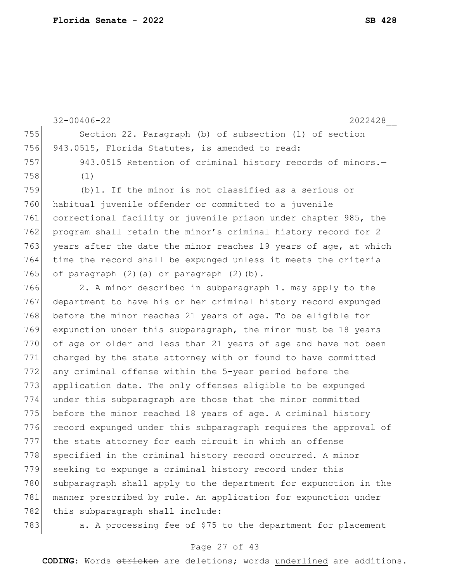32-00406-22 2022428\_\_ 755 Section 22. Paragraph (b) of subsection (1) of section 756 943.0515, Florida Statutes, is amended to read: 757 943.0515 Retention of criminal history records of minors. 758 (1) 759 (b)1. If the minor is not classified as a serious or 760 habitual juvenile offender or committed to a juvenile 761 correctional facility or juvenile prison under chapter 985, the 762 program shall retain the minor's criminal history record for 2 763 years after the date the minor reaches 19 years of age, at which 764 time the record shall be expunged unless it meets the criteria 765 of paragraph  $(2)$   $(a)$  or paragraph  $(2)$   $(b)$ . 766 2. A minor described in subparagraph 1. may apply to the 767 department to have his or her criminal history record expunged 768 before the minor reaches 21 years of age. To be eligible for 769 expunction under this subparagraph, the minor must be 18 years 770 of age or older and less than 21 years of age and have not been 771 charged by the state attorney with or found to have committed 772 any criminal offense within the 5-year period before the 773 application date. The only offenses eligible to be expunged 774 under this subparagraph are those that the minor committed 775 before the minor reached 18 years of age. A criminal history 776 record expunged under this subparagraph requires the approval of 777 the state attorney for each circuit in which an offense 778 specified in the criminal history record occurred. A minor 779 seeking to expunge a criminal history record under this 780 subparagraph shall apply to the department for expunction in the 781 manner prescribed by rule. An application for expunction under 782 | this subparagraph shall include:

783  $\vert$  a. A processing fee of \$75 to the department for placement

#### Page 27 of 43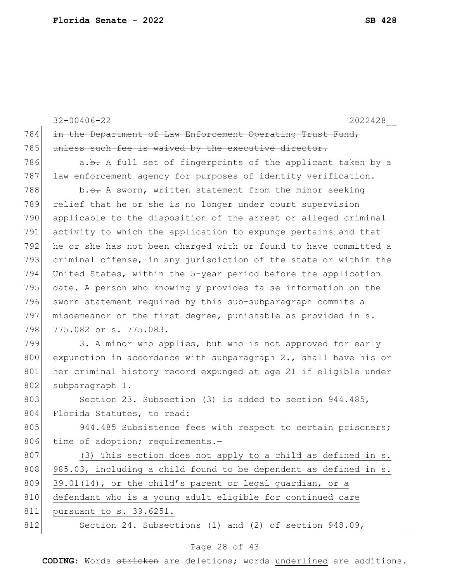|     | $32 - 00406 - 22$<br>2022428                                        |
|-----|---------------------------------------------------------------------|
| 784 | in the Department of Law Enforcement Operating Trust Fund,          |
| 785 | unless such fee is waived by the executive director.                |
| 786 | a.b. A full set of fingerprints of the applicant taken by a         |
| 787 | law enforcement agency for purposes of identity verification.       |
| 788 | b.e. A sworn, written statement from the minor seeking              |
| 789 | relief that he or she is no longer under court supervision          |
| 790 | applicable to the disposition of the arrest or alleged criminal     |
| 791 | activity to which the application to expunge pertains and that      |
| 792 | he or she has not been charged with or found to have committed a    |
| 793 | criminal offense, in any jurisdiction of the state or within the    |
| 794 | United States, within the 5-year period before the application      |
| 795 | date. A person who knowingly provides false information on the      |
| 796 | sworn statement required by this sub-subparagraph commits a         |
| 797 | misdemeanor of the first degree, punishable as provided in s.       |
| 798 | 775.082 or s. 775.083.                                              |
| 799 | 3. A minor who applies, but who is not approved for early           |
| 800 | expunction in accordance with subparagraph $2.$ , shall have his or |
| 801 | her criminal history record expunged at age 21 if eligible under    |
| 802 | subparagraph 1.                                                     |
| 803 | Section 23. Subsection (3) is added to section 944.485,             |
| 804 | Florida Statutes, to read:                                          |
| 805 | 944.485 Subsistence fees with respect to certain prisoners;         |
| 806 | time of adoption; requirements.-                                    |
| 807 | (3) This section does not apply to a child as defined in s.         |
| 808 | 985.03, including a child found to be dependent as defined in s.    |
| 809 | 39.01(14), or the child's parent or legal guardian, or a            |
| 810 | defendant who is a young adult eligible for continued care          |
| 811 | pursuant to s. 39.6251.                                             |
| 812 | Section 24. Subsections (1) and (2) of section 948.09,              |

## Page 28 of 43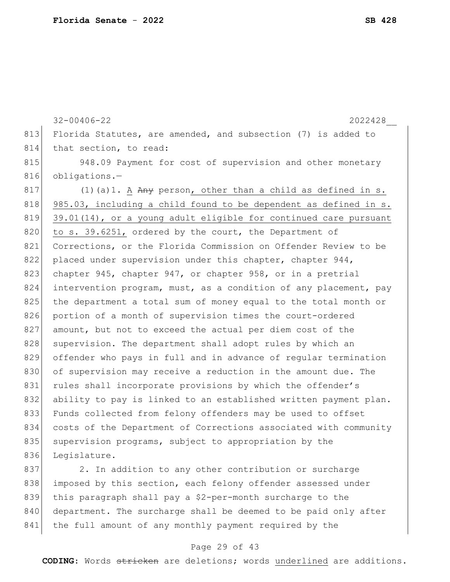32-00406-22 2022428\_\_ 813 Florida Statutes, are amended, and subsection (7) is added to 814 that section, to read: 815 948.09 Payment for cost of supervision and other monetary 816 obligations.-817 (1) (a) 1. A  $A_{\text{H}}$  person, other than a child as defined in s.  $818$  985.03, including a child found to be dependent as defined in s. 819 39.01(14), or a young adult eligible for continued care pursuant 820 to s. 39.6251, ordered by the court, the Department of 821 Corrections, or the Florida Commission on Offender Review to be 822 placed under supervision under this chapter, chapter 944, 823 chapter 945, chapter 947, or chapter 958, or in a pretrial 824 intervention program, must, as a condition of any placement, pay 825 the department a total sum of money equal to the total month or 826 portion of a month of supervision times the court-ordered 827 amount, but not to exceed the actual per diem cost of the 828 supervision. The department shall adopt rules by which an 829 offender who pays in full and in advance of regular termination 830 of supervision may receive a reduction in the amount due. The 831 rules shall incorporate provisions by which the offender's 832 ability to pay is linked to an established written payment plan. 833 Funds collected from felony offenders may be used to offset 834 costs of the Department of Corrections associated with community 835 supervision programs, subject to appropriation by the 836 Legislature. 837 2. In addition to any other contribution or surcharge

838 imposed by this section, each felony offender assessed under 839 this paragraph shall pay a \$2-per-month surcharge to the 840 department. The surcharge shall be deemed to be paid only after 841 the full amount of any monthly payment required by the

#### Page 29 of 43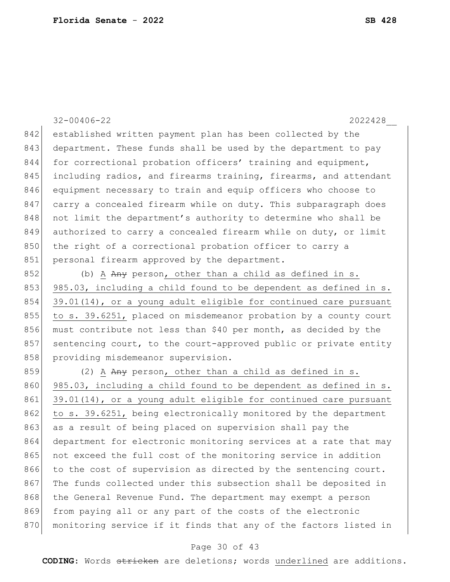842 established written payment plan has been collected by the 843 department. These funds shall be used by the department to pay 844 for correctional probation officers' training and equipment, 845 including radios, and firearms training, firearms, and attendant 846 equipment necessary to train and equip officers who choose to 847 carry a concealed firearm while on duty. This subparagraph does 848 not limit the department's authority to determine who shall be 849 authorized to carry a concealed firearm while on duty, or limit 850 the right of a correctional probation officer to carry a 851 personal firearm approved by the department. 852 (b) A  $Any$  person, other than a child as defined in s. 853 985.03, including a child found to be dependent as defined in s. 854 39.01(14), or a young adult eligible for continued care pursuant 855 to s. 39.6251, placed on misdemeanor probation by a county court 856 must contribute not less than \$40 per month, as decided by the 857 sentencing court, to the court-approved public or private entity 858 providing misdemeanor supervision. 859 (2) A  $\overline{Any}$  person, other than a child as defined in s. 860 985.03, including a child found to be dependent as defined in s. 861 39.01(14), or a young adult eligible for continued care pursuant 862 to s. 39.6251, being electronically monitored by the department 863 as a result of being placed on supervision shall pay the 864 department for electronic monitoring services at a rate that may 865 not exceed the full cost of the monitoring service in addition

32-00406-22 2022428\_\_

Page 30 of 43 **CODING**: Words stricken are deletions; words underlined are additions.

866 to the cost of supervision as directed by the sentencing court. 867 The funds collected under this subsection shall be deposited in

870 monitoring service if it finds that any of the factors listed in

868 the General Revenue Fund. The department may exempt a person

869 from paying all or any part of the costs of the electronic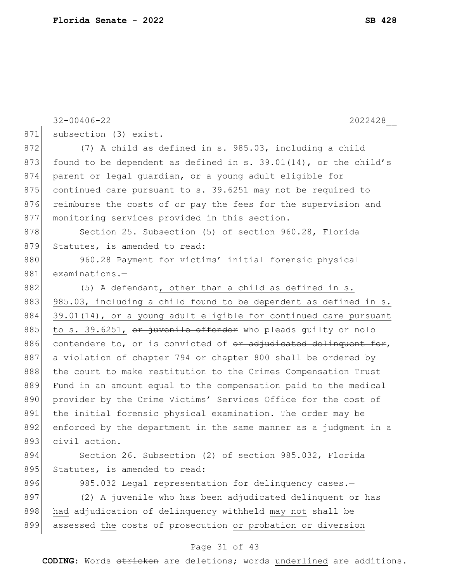|     | $32 - 00406 - 22$<br>2022428                                        |
|-----|---------------------------------------------------------------------|
| 871 | subsection (3) exist.                                               |
| 872 | (7) A child as defined in s. 985.03, including a child              |
| 873 | found to be dependent as defined in s. $39.01(14)$ , or the child's |
| 874 | parent or legal guardian, or a young adult eligible for             |
| 875 | continued care pursuant to s. 39.6251 may not be required to        |
| 876 | reimburse the costs of or pay the fees for the supervision and      |
| 877 | monitoring services provided in this section.                       |
| 878 | Section 25. Subsection (5) of section 960.28, Florida               |
| 879 | Statutes, is amended to read:                                       |
| 880 | 960.28 Payment for victims' initial forensic physical               |
| 881 | $examinations.$ -                                                   |
| 882 | (5) A defendant, other than a child as defined in s.                |
| 883 | 985.03, including a child found to be dependent as defined in s.    |
| 884 | 39.01(14), or a young adult eligible for continued care pursuant    |
| 885 | to s. 39.6251, or juvenile offender who pleads guilty or nolo       |
| 886 | contendere to, or is convicted of $er$ adjudicated delinquent for,  |
| 887 | a violation of chapter 794 or chapter 800 shall be ordered by       |
| 888 | the court to make restitution to the Crimes Compensation Trust      |
| 889 | Fund in an amount equal to the compensation paid to the medical     |
| 890 | provider by the Crime Victims' Services Office for the cost of      |
| 891 | the initial forensic physical examination. The order may be         |
| 892 | enforced by the department in the same manner as a judgment in a    |
| 893 | civil action.                                                       |
| 894 | Section 26. Subsection (2) of section 985.032, Florida              |
| 895 | Statutes, is amended to read:                                       |
| 896 | 985.032 Legal representation for delinquency cases.-                |
| 897 | (2) A juvenile who has been adjudicated delinquent or has           |
| 898 | had adjudication of delinquency withheld may not shall be           |
| 899 | assessed the costs of prosecution or probation or diversion         |
|     | Page 31 of 43                                                       |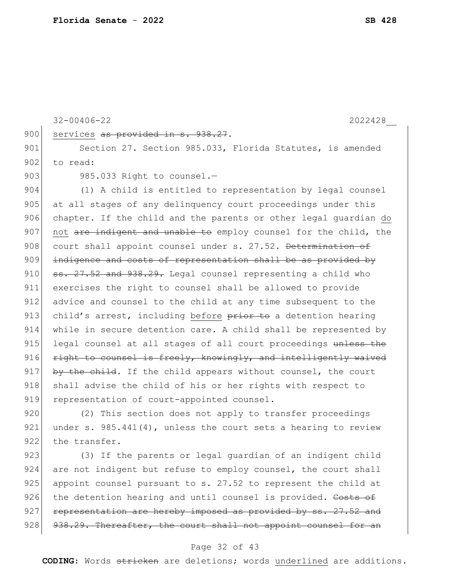```
32-00406-22 2022428__
900 services as provided in s. 938.27.
901 Section 27. Section 985.033, Florida Statutes, is amended
902 to read:
903 985.033 Right to counsel.-
904 (1) A child is entitled to representation by legal counsel 
905 at all stages of any delinguency court proceedings under this
906 chapter. If the child and the parents or other legal guardian do
907 not are indigent and unable to employ counsel for the child, the
908 court shall appoint counsel under s. 27.52. Determination of
909 indigence and costs of representation shall be as provided by
910 \sigma \sigma \sim 27.52 and 938.29. Legal counsel representing a child who
911 exercises the right to counsel shall be allowed to provide 
912 advice and counsel to the child at any time subsequent to the
913 child's arrest, including before \frac{1}{2} be a detention hearing
914 while in secure detention care. A child shall be represented by 
915 legal counsel at all stages of all court proceedings unless the
916 right to counsel is freely, knowingly, and intelligently waived
917 by the child. If the child appears without counsel, the court
918 shall advise the child of his or her rights with respect to
919 representation of court-appointed counsel.
920 (2) This section does not apply to transfer proceedings
```
921 under s. 985.441(4), unless the court sets a hearing to review 922 the transfer.

923 (3) If the parents or legal quardian of an indigent child 924 are not indigent but refuse to employ counsel, the court shall 925 appoint counsel pursuant to s. 27.52 to represent the child at 926 the detention hearing and until counsel is provided. Costs of  $927$  representation are hereby imposed as provided by ss.  $27.52$  and  $928$   $938.29$ . Thereafter, the court shall not appoint counsel for an

#### Page 32 of 43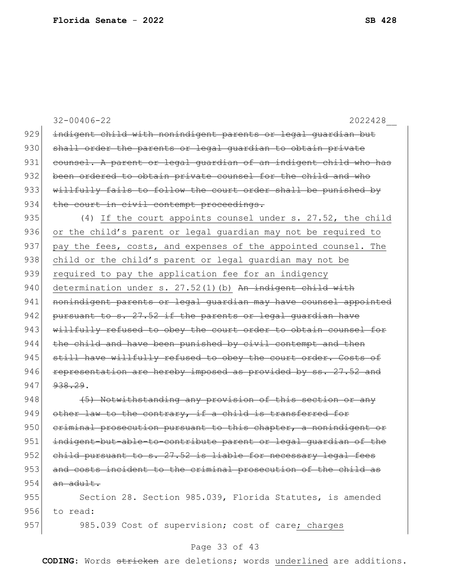|     | $32 - 00406 - 22$<br>2022428                                     |
|-----|------------------------------------------------------------------|
| 929 | indigent child with nonindigent parents or legal guardian but    |
| 930 | shall order the parents or legal quardian to obtain private      |
| 931 | counsel. A parent or legal quardian of an indigent child who has |
| 932 | been ordered to obtain private counsel for the child and who     |
| 933 | willfully fails to follow the court order shall be punished by   |
| 934 | the court in civil contempt proceedings.                         |
| 935 | (4) If the court appoints counsel under s. 27.52, the child      |
| 936 | or the child's parent or legal guardian may not be required to   |
| 937 | pay the fees, costs, and expenses of the appointed counsel. The  |
| 938 | child or the child's parent or legal guardian may not be         |
| 939 | required to pay the application fee for an indigency             |
| 940 | determination under s. 27.52(1)(b) An indigent child with        |
| 941 | nonindigent parents or legal quardian may have counsel appointed |
| 942 | pursuant to s. 27.52 if the parents or legal guardian have       |
| 943 | willfully refused to obey the court order to obtain counsel for  |
| 944 | the child and have been punished by civil contempt and then      |
| 945 | still have willfully refused to obey the court order. Costs of   |
| 946 | representation are hereby imposed as provided by ss. 27.52 and   |
| 947 | 938.29.                                                          |
| 948 | (5) Notwithstanding any provision of this section or any         |
| 949 | other law to the contrary, if a child is transferred for         |
| 950 | eriminal prosecution pursuant to this chapter, a nonindigent or  |
| 951 | indigent-but-able-to-contribute parent or legal guardian of the  |
| 952 | child pursuant to s. 27.52 is liable for necessary legal fees    |
| 953 | and costs incident to the criminal prosecution of the child as   |
| 954 | an adult.                                                        |
| 955 | Section 28. Section 985.039, Florida Statutes, is amended        |
| 956 | to read:                                                         |
| 957 | 985.039 Cost of supervision; cost of care; charges               |
|     |                                                                  |

## Page 33 of 43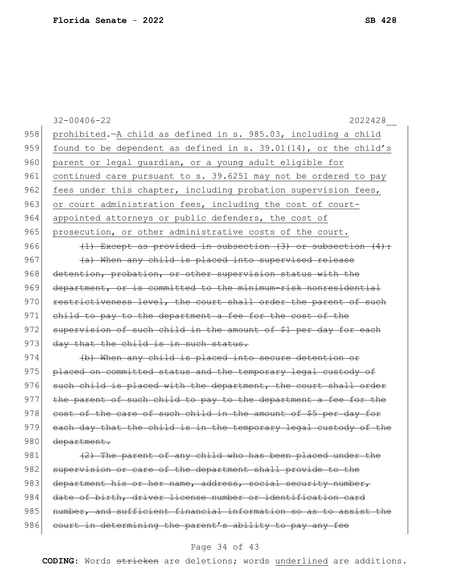|     | $32 - 00406 - 22$<br>2022428                                       |
|-----|--------------------------------------------------------------------|
| 958 | prohibited. - A child as defined in s. 985.03, including a child   |
| 959 | found to be dependent as defined in s. 39.01(14), or the child's   |
| 960 | parent or legal guardian, or a young adult eligible for            |
| 961 | continued care pursuant to s. 39.6251 may not be ordered to pay    |
| 962 | fees under this chapter, including probation supervision fees,     |
| 963 | or court administration fees, including the cost of court-         |
| 964 | appointed attorneys or public defenders, the cost of               |
| 965 | prosecution, or other administrative costs of the court.           |
| 966 | $(1)$ Except as provided in subsection $(3)$ or subsection $(4)$ : |
| 967 | (a) When any child is placed into supervised release               |
| 968 | detention, probation, or other supervision status with the         |
| 969 | department, or is committed to the minimum-risk nonresidential     |
| 970 | restrictiveness level, the court shall order the parent of such    |
| 971 | child to pay to the department a fee for the cost of the           |
| 972 | supervision of such child in the amount of \$1 per day for each    |
| 973 | day that the child is in such status.                              |
| 974 | (b) When any child is placed into secure detention or              |
| 975 | placed on committed status and the temporary legal custody of      |
| 976 | such child is placed with the department, the court shall order    |
| 977 | the parent of such child to pay to the department a fee for the    |
| 978 | cost of the care of such child in the amount of \$5 per day for    |
| 979 | each day that the child is in the temporary legal custody of the   |
| 980 | department.                                                        |
| 981 | (2) The parent of any child who has been placed under the          |
| 982 | supervision or care of the department shall provide to the         |
| 983 | department his or her name, address, social security number,       |
| 984 | date of birth, driver license number or identification card        |
| 985 | number, and sufficient financial information so as to assist the   |
| 986 | court in determining the parent's ability to pay any fee           |

## Page 34 of 43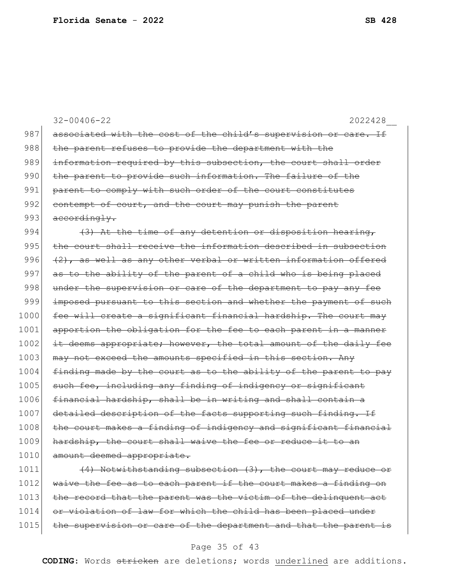|      | $32 - 00406 - 22$<br>2022428                                               |
|------|----------------------------------------------------------------------------|
| 987  | associated with the cost of the child's supervision or care. If            |
| 988  | the parent refuses to provide the department with the                      |
| 989  | information required by this subsection, the court shall order             |
| 990  | the parent to provide such information. The failure of the                 |
| 991  | parent to comply with such order of the court constitutes                  |
| 992  | contempt of court, and the court may punish the parent                     |
| 993  | accordingly.                                                               |
| 994  | (3) At the time of any detention or disposition hearing,                   |
| 995  | the court shall receive the information described in subsection            |
| 996  | (2), as well as any other verbal or written information offered            |
| 997  | as to the ability of the parent of a child who is being placed             |
| 998  | under the supervision or care of the department to pay any fee             |
| 999  | imposed pursuant to this section and whether the payment of such           |
| 1000 | fee will create a significant financial hardship. The court may            |
| 1001 | apportion the obligation for the fee to each parent in a manner            |
| 1002 | it deems appropriate; however, the total amount of the daily fee           |
| 1003 | may not exceed the amounts specified in this section. Any                  |
| 1004 | finding made by the court as to the ability of the parent to pay           |
| 1005 | such fee, including any finding of indigency or significant                |
| 1006 | financial hardship, shall be in writing and shall contain a                |
| 1007 | detailed description of the facts supporting such finding. If              |
| 1008 | court makes a finding of indigency and significant<br><del>financial</del> |
| 1009 | hardship, the court shall waive the fee or reduce it to an                 |
| 1010 | amount deemed appropriate.                                                 |
| 1011 | (4) Notwithstanding subsection (3), the court may reduce or                |
| 1012 | waive the fee as to each parent if the court makes a finding on            |
| 1013 | the record that the parent was the victim of the delinquent act            |

# 1014 or violation of law for which the child has been placed under 1015 the supervision or care of the department and that the parent is

### Page 35 of 43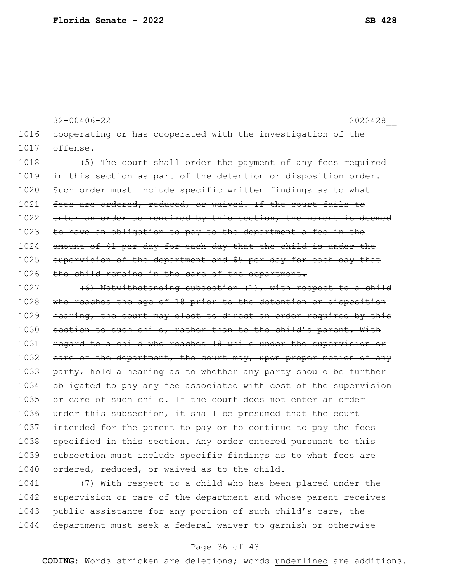```
32-00406-22 2022428__
```
1016 cooperating or has cooperated with the investigation of the  $1017$  offense.

 $1018$  (5) The court shall order the payment of any fees required 1019 in this section as part of the detention or disposition order. 1020 Such order must include specific written findings as to what 1021 fees are ordered, reduced, or waived. If the court fails to 1022 enter an order as required by this section, the parent is deemed 1023 to have an obligation to pay to the department a fee in the 1024 amount of \$1 per day for each day that the child is under the 1025 supervision of the department and \$5 per day for each day that 1026 the child remains in the care of the department.

 $1027$  (6) Notwithstanding subsection (1), with respect to a child 1028 who reaches the age of 18 prior to the detention or disposition 1029 hearing, the court may elect to direct an order required by this 1030 section to such child, rather than to the child's parent. With 1031 regard to a child who reaches 18 while under the supervision or 1032 care of the department, the court may, upon proper motion of any 1033 party, hold a hearing as to whether any party should be further 1034 obligated to pay any fee associated with cost of the supervision 1035 or care of such child. If the court does not enter an order 1036 under this subsection, it shall be presumed that the court 1037 intended for the parent to pay or to continue to pay the fees 1038 specified in this section. Any order entered pursuant to this 1039 subsection must include specific findings as to what fees are 1040 ordered, reduced, or waived as to the child.

 $1041$  (7) With respect to a child who has been placed under the 1042 supervision or care of the department and whose parent receives 1043 public assistance for any portion of such child's care, the 1044 department must seek a federal waiver to garnish or otherwise

#### Page 36 of 43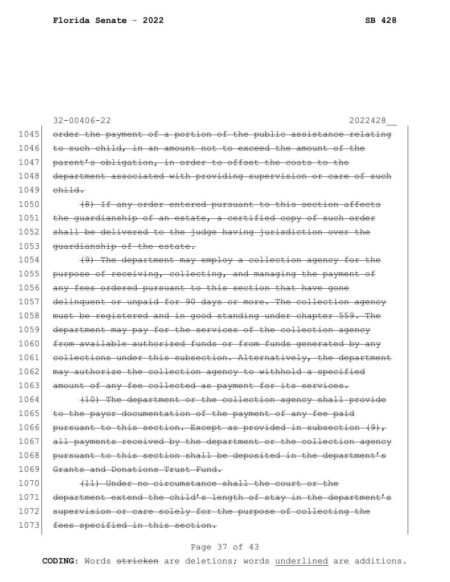32-00406-22 2022428\_\_ 1045 order the payment of a portion of the public assistance relating 1046 to such child, in an amount not to exceed the amount of the 1047 | parent's obligation, in order to offset the costs to the 1048 department associated with providing supervision or care of such  $1049$  child.  $1050$  (8) If any order entered pursuant to this section affects 1051 the guardianship of an estate, a certified copy of such order 1052 shall be delivered to the judge having jurisdiction over the 1053 <del>quardianship of the estate.</del> 1054 (9) The department may employ a collection agency for the 1055 purpose of receiving, collecting, and managing the payment of 1056 any fees ordered pursuant to this section that have gone 1057 delinquent or unpaid for 90 days or more. The collection agency 1058 must be registered and in good standing under chapter 559. The 1059 department may pay for the services of the collection agency 1060 from available authorized funds or from funds generated by any 1061 collections under this subsection. Alternatively, the department 1062 may authorize the collection agency to withhold a specified 1063 amount of any fee collected as payment for its services. 1064 (10) The department or the collection agency shall provide 1065 to the payor documentation of the payment of any fee paid 1066 pursuant to this section. Except as provided in subsection (9), 1067 all payments received by the department or the collection agency 1068 pursuant to this section shall be deposited in the department's 1069 Grants and Donations Trust Fund. 1070 (11) Under no circumstance shall the court or the 1071 department extend the child's length of stay in the department's 1072 supervision or care solely for the purpose of collecting the 1073 fees specified in this section.

#### Page 37 of 43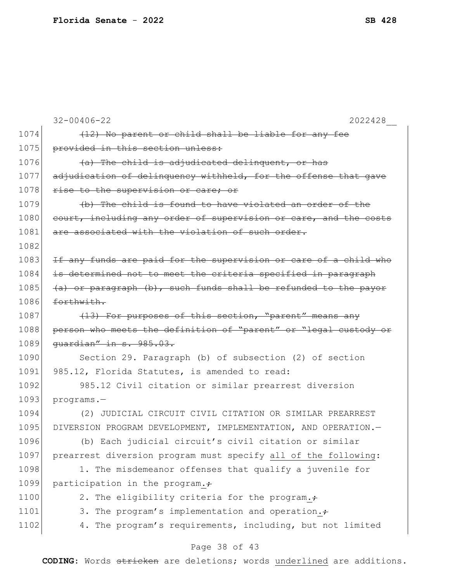|      | $32 - 00406 - 22$<br>2022428                                     |
|------|------------------------------------------------------------------|
| 1074 | (12) No parent or child shall be liable for any fee              |
| 1075 | provided in this section unless:                                 |
| 1076 | (a) The child is adjudicated delinquent, or has                  |
| 1077 | adjudication of delinquency withheld, for the offense that gave  |
| 1078 | rise to the supervision or care; or                              |
| 1079 | (b) The child is found to have violated an order of the          |
| 1080 | court, including any order of supervision or care, and the costs |
| 1081 | are associated with the violation of such order.                 |
| 1082 |                                                                  |
| 1083 | If any funds are paid for the supervision or care of a child who |
| 1084 | is determined not to meet the criteria specified in paragraph    |
| 1085 | (a) or paragraph (b), such funds shall be refunded to the payor  |
| 1086 | forthwith.                                                       |
| 1087 | (13) For purposes of this section, "parent" means any            |
| 1088 | person who meets the definition of "parent" or "legal custody or |
| 1089 | quardian" in s. 985.03.                                          |
| 1090 | Section 29. Paragraph (b) of subsection (2) of section           |
| 1091 | 985.12, Florida Statutes, is amended to read:                    |
| 1092 | 985.12 Civil citation or similar prearrest diversion             |
| 1093 | programs.-                                                       |
| 1094 | (2) JUDICIAL CIRCUIT CIVIL CITATION OR SIMILAR PREARREST         |
| 1095 | DIVERSION PROGRAM DEVELOPMENT, IMPLEMENTATION, AND OPERATION.-   |
| 1096 | (b) Each judicial circuit's civil citation or similar            |
| 1097 | prearrest diversion program must specify all of the following:   |
| 1098 | 1. The misdemeanor offenses that qualify a juvenile for          |
| 1099 | participation in the program.                                    |
| 1100 | 2. The eligibility criteria for the program.+                    |
| 1101 | 3. The program's implementation and operation.                   |
| 1102 | 4. The program's requirements, including, but not limited        |
|      |                                                                  |

### Page 38 of 43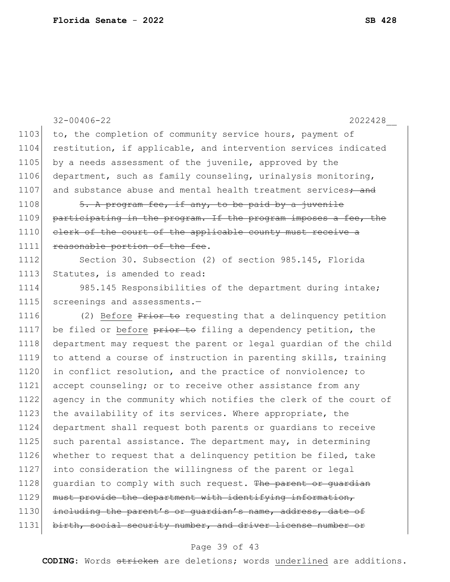|      | $32 - 00406 - 22$<br>2022428                                              |
|------|---------------------------------------------------------------------------|
| 1103 | to, the completion of community service hours, payment of                 |
| 1104 | restitution, if applicable, and intervention services indicated           |
| 1105 | by a needs assessment of the juvenile, approved by the                    |
| 1106 | department, such as family counseling, urinalysis monitoring,             |
| 1107 | and substance abuse and mental health treatment services <sup>+</sup> and |
| 1108 | 5. A program fee, if any, to be paid by a juvenile                        |
| 1109 | participating in the program. If the program imposes a fee, the           |
| 1110 | elerk of the court of the applicable county must receive a                |
| 1111 | reasonable portion of the fee.                                            |
| 1112 | Section 30. Subsection (2) of section 985.145, Florida                    |
| 1113 | Statutes, is amended to read:                                             |
| 1114 | 985.145 Responsibilities of the department during intake;                 |
| 1115 | screenings and assessments.-                                              |
| 1116 | (2) Before Prior to requesting that a delinquency petition                |
| 1117 | be filed or before prior to filing a dependency petition, the             |
| 1118 | department may request the parent or legal guardian of the child          |
| 1119 | to attend a course of instruction in parenting skills, training           |
| 1120 | in conflict resolution, and the practice of nonviolence; to               |
| 1121 | accept counseling; or to receive other assistance from any                |
| 1122 | agency in the community which notifies the clerk of the court of          |
| 1123 | the availability of its services. Where appropriate, the                  |
| 1124 | department shall request both parents or guardians to receive             |
| 1125 | such parental assistance. The department may, in determining              |
| 1126 | whether to request that a delinquency petition be filed, take             |
| 1127 | into consideration the willingness of the parent or legal                 |
| 1128 | quardian to comply with such request. The parent or quardian              |
| 1129 | must provide the department with identifying information,                 |
| 1130 | including the parent's or quardian's name, address, date of               |
| 1131 | birth, social security number, and driver license number or               |

## Page 39 of 43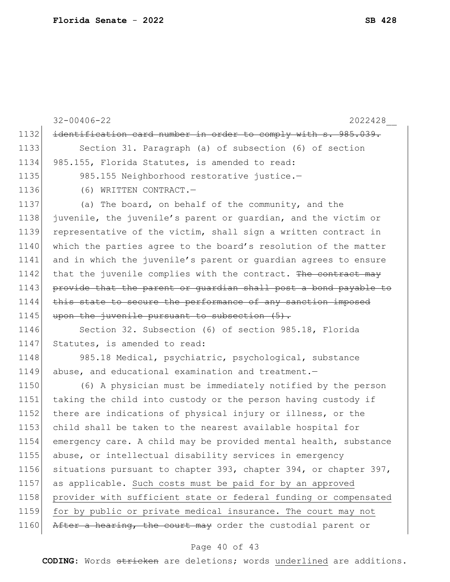32-00406-22 2022428\_\_ 1132 identification card number in order to comply with s. 985.039. 1133 Section 31. Paragraph (a) of subsection (6) of section 1134 985.155, Florida Statutes, is amended to read: 1135 985.155 Neighborhood restorative justice.-1136 (6) WRITTEN CONTRACT. 1137 (a) The board, on behalf of the community, and the 1138 juvenile, the juvenile's parent or guardian, and the victim or 1139 representative of the victim, shall sign a written contract in 1140 which the parties agree to the board's resolution of the matter 1141 and in which the juvenile's parent or guardian agrees to ensure 1142 that the juvenile complies with the contract. The contract may 1143 provide that the parent or quardian shall post a bond payable to  $1144$  this state to secure the performance of any sanction imposed 1145 upon the juvenile pursuant to subsection  $(5)$ . 1146 Section 32. Subsection (6) of section 985.18, Florida 1147 Statutes, is amended to read: 1148 985.18 Medical, psychiatric, psychological, substance 1149 abuse, and educational examination and treatment.-1150 (6) A physician must be immediately notified by the person 1151 taking the child into custody or the person having custody if 1152 there are indications of physical injury or illness, or the 1153 child shall be taken to the nearest available hospital for 1154 emergency care. A child may be provided mental health, substance 1155 abuse, or intellectual disability services in emergency 1156 situations pursuant to chapter 393, chapter 394, or chapter 397, 1157 as applicable. Such costs must be paid for by an approved 1158 provider with sufficient state or federal funding or compensated 1159 for by public or private medical insurance. The court may not 1160 After a hearing, the court may order the custodial parent or

#### Page 40 of 43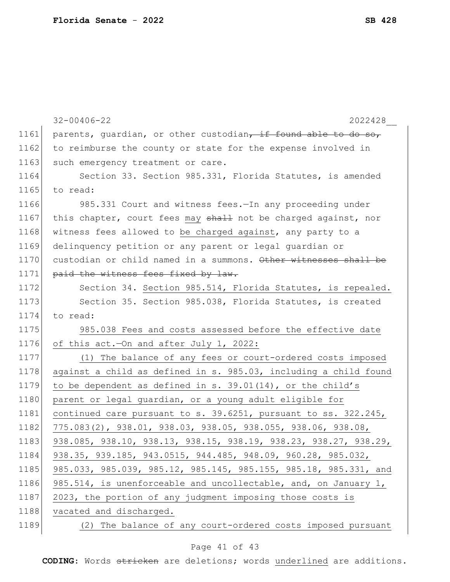|      | $32 - 00406 - 22$<br>2022428                                     |
|------|------------------------------------------------------------------|
| 1161 | parents, quardian, or other custodian, if found able to do so,   |
| 1162 | to reimburse the county or state for the expense involved in     |
| 1163 | such emergency treatment or care.                                |
| 1164 | Section 33. Section 985.331, Florida Statutes, is amended        |
| 1165 | to read:                                                         |
| 1166 | 985.331 Court and witness fees. In any proceeding under          |
| 1167 | this chapter, court fees may shall not be charged against, nor   |
| 1168 | witness fees allowed to be charged against, any party to a       |
| 1169 | delinquency petition or any parent or legal quardian or          |
| 1170 | custodian or child named in a summons. Other witnesses shall be  |
| 1171 | paid the witness fees fixed by law.                              |
| 1172 | Section 34. Section 985.514, Florida Statutes, is repealed.      |
| 1173 | Section 35. Section 985.038, Florida Statutes, is created        |
| 1174 | to read:                                                         |
| 1175 | 985.038 Fees and costs assessed before the effective date        |
| 1176 | of this act. - On and after July 1, 2022:                        |
| 1177 | (1) The balance of any fees or court-ordered costs imposed       |
| 1178 | against a child as defined in s. 985.03, including a child found |
| 1179 | to be dependent as defined in s. $39.01(14)$ , or the child's    |
| 1180 | parent or legal guardian, or a young adult eligible for          |
| 1181 | continued care pursuant to s. 39.6251, pursuant to ss. 322.245,  |
| 1182 | 775.083(2), 938.01, 938.03, 938.05, 938.055, 938.06, 938.08,     |
| 1183 | 938.085, 938.10, 938.13, 938.15, 938.19, 938.23, 938.27, 938.29, |
| 1184 | 938.35, 939.185, 943.0515, 944.485, 948.09, 960.28, 985.032,     |
| 1185 | 985.033, 985.039, 985.12, 985.145, 985.155, 985.18, 985.331, and |
| 1186 | 985.514, is unenforceable and uncollectable, and, on January 1,  |
| 1187 | 2023, the portion of any judgment imposing those costs is        |
| 1188 | vacated and discharged.                                          |
| 1189 | (2) The balance of any court-ordered costs imposed pursuant      |

## Page 41 of 43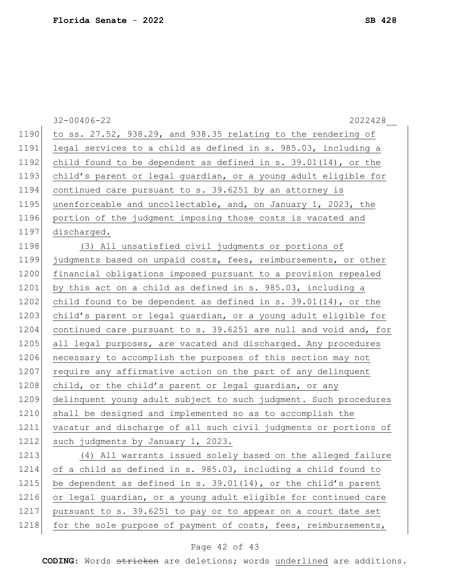|      | $32 - 00406 - 22$<br>2022428                                      |
|------|-------------------------------------------------------------------|
| 1190 | to ss. 27.52, 938.29, and 938.35 relating to the rendering of     |
| 1191 | legal services to a child as defined in s. 985.03, including a    |
| 1192 | child found to be dependent as defined in s. $39.01(14)$ , or the |
| 1193 | child's parent or legal guardian, or a young adult eligible for   |
| 1194 | continued care pursuant to s. 39.6251 by an attorney is           |
| 1195 | unenforceable and uncollectable, and, on January 1, 2023, the     |
| 1196 | portion of the judgment imposing those costs is vacated and       |
| 1197 | discharged.                                                       |
| 1198 | (3) All unsatisfied civil judgments or portions of                |
| 1199 | judgments based on unpaid costs, fees, reimbursements, or other   |
| 1200 | financial obligations imposed pursuant to a provision repealed    |
| 1201 | by this act on a child as defined in s. 985.03, including a       |
| 1202 | child found to be dependent as defined in $s. 39.01(14)$ , or the |
| 1203 | child's parent or legal guardian, or a young adult eligible for   |
| 1204 | continued care pursuant to s. 39.6251 are null and void and, for  |
| 1205 | all legal purposes, are vacated and discharged. Any procedures    |
| 1206 | necessary to accomplish the purposes of this section may not      |
| 1207 | require any affirmative action on the part of any delinquent      |
| 1208 | child, or the child's parent or legal guardian, or any            |
| 1209 | delinquent young adult subject to such judgment. Such procedures  |
| 1210 | shall be designed and implemented so as to accomplish the         |
| 1211 | vacatur and discharge of all such civil judgments or portions of  |
| 1212 | such judgments by January 1, 2023.                                |
| 1213 | (4) All warrants issued solely based on the alleged failure       |
| 1214 | of a child as defined in s. 985.03, including a child found to    |
| 1215 | be dependent as defined in s. 39.01(14), or the child's parent    |
| 1216 | or legal guardian, or a young adult eligible for continued care   |
| 1217 | pursuant to s. 39.6251 to pay or to appear on a court date set    |
| 1218 | for the sole purpose of payment of costs, fees, reimbursements,   |

## Page 42 of 43